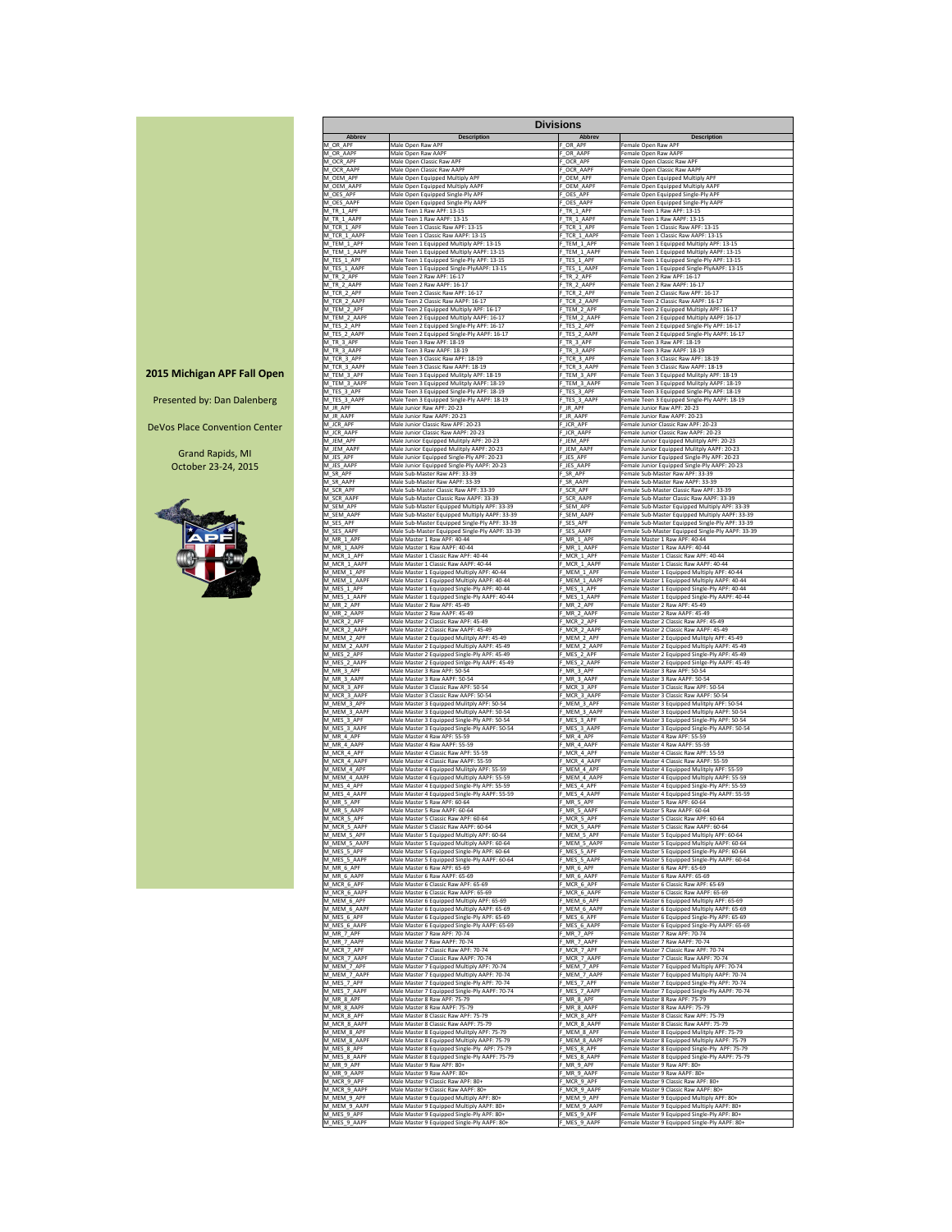|                             |                                                                                     | <b>Divisions</b>            |                                                                                         |
|-----------------------------|-------------------------------------------------------------------------------------|-----------------------------|-----------------------------------------------------------------------------------------|
| <b>Abbrev</b>               | <b>Description</b>                                                                  | <b>Abbrev</b>               | <b>Description</b>                                                                      |
| M_OR_APF                    | Male Open Raw APF                                                                   | OR APF                      | Female Open Raw APF                                                                     |
| M OR AAPF                   | Male Open Raw AAPF                                                                  | OR AAPF                     | Female Open Raw AAPF                                                                    |
| M_OCR_APF                   | Male Open Classic Raw APF                                                           | OCR APF                     | Female Open Classic Raw APF                                                             |
| M_OCR_AAPF                  | Male Open Classic Raw AAPF                                                          | OCR AAPF                    | Female Open Classic Raw AAPF                                                            |
| M_OEM_APF                   | Male Open Equipped Multiply APF                                                     | OEM APF                     | Female Open Equipped Multiply APF                                                       |
| M OEM AAPF                  | Male Open Equipped Multiply AAPF                                                    | OEM AAPF                    | Female Open Equipped Multiply AAPF                                                      |
| M_OES_APF                   | Male Open Equipped Single-Ply APF                                                   | OES APF                     | Female Open Equipped Single-Ply APF                                                     |
| M OES AAPF                  | Male Open Equipped Single-Ply AAPF                                                  | _OES_AAPF                   | Female Open Equipped Single-Ply AAPF                                                    |
| $M_TR_1$ _APF               | Male Teen 1 Raw APF: 13-15                                                          | F TR 1 APF                  | Female Teen 1 Raw APF: 13-15                                                            |
| M_TR_1_AAPF                 | Male Teen 1 Raw AAPF: 13-15                                                         | F TR 1 AAPF                 | Female Teen 1 Raw AAPF: 13-15                                                           |
| M TCR 1 APF                 | Male Teen 1 Classic Raw APF: 13-15                                                  | F TCR 1 APF                 | Female Teen 1 Classic Raw APF: 13-15                                                    |
| M TCR 1 AAPF                | Male Teen 1 Classic Raw AAPF: 13-15                                                 | F TCR 1 AAPF                | Female Teen 1 Classic Raw AAPF: 13-15                                                   |
| M_TEM_1_APF                 | Male Teen 1 Equipped Multiply APF: 13-15                                            | F TEM 1 APF                 | Female Teen 1 Equipped Multiply APF: 13-15                                              |
| M_TEM_1_AAPF                | Male Teen 1 Equipped Multiply AAPF: 13-15                                           | F TEM 1 AAPF                | Female Teen 1 Equipped Multiply AAPF: 13-15                                             |
| M_TES_1_APF                 | Male Teen 1 Equipped Single-Ply APF: 13-15                                          | F TES 1 APF                 | Female Teen 1 Equipped Single-Ply APF: 13-15                                            |
| M TES 1 AAPF                | Male Teen 1 Equipped Single-PlyAAPF: 13-15                                          | F TES 1 AAPF                | Female Teen 1 Equipped Single-PlyAAPF: 13-15                                            |
| M_TR_2_APF                  | Male Teen 2 Raw APF: 16-17                                                          | F TR 2 APF                  | Female Teen 2 Raw APF: 16-17                                                            |
| M TR 2 AAPF                 | Male Teen 2 Raw AAPF: 16-17                                                         | F TR 2 AAPF                 | Female Teen 2 Raw AAPF: 16-17                                                           |
| M_TCR_2_APF                 | Male Teen 2 Classic Raw APF: 16-17                                                  | F TCR 2 APF                 | Female Teen 2 Classic Raw APF: 16-17                                                    |
| M_TCR_2_AAPF                | Male Teen 2 Classic Raw AAPF: 16-17                                                 | F_TCR_2_AAPF                | Female Teen 2 Classic Raw AAPF: 16-17                                                   |
| M_TEM_2_APF                 | Male Teen 2 Equipped Multiply APF: 16-17                                            | F_TEM_2_APF                 | Female Teen 2 Equipped Multiply APF: 16-17                                              |
| M TEM 2 AAPF                | Male Teen 2 Equipped Multiply AAPF: 16-17                                           | F TEM 2 AAPF                | Female Teen 2 Equipped Multiply AAPF: 16-17                                             |
| M_TES_2_APF                 | Male Teen 2 Equipped Single-Ply APF: 16-17                                          | F TES 2 APF                 | Female Teen 2 Equipped Single-Ply APF: 16-17                                            |
| M_TES_2_AAPF                | Male Teen 2 Equipped Single-Ply AAPF: 16-17                                         | F TES 2 AAPF                | Female Teen 2 Equipped Single-Ply AAPF: 16-17                                           |
| M_TR_3_APF                  | Male Teen 3 Raw APF: 18-19                                                          | F TR 3 APF                  | Female Teen 3 Raw APF: 18-19                                                            |
| M_TR_3_AAPF                 | Male Teen 3 Raw AAPF: 18-19                                                         | F TR 3 AAPF                 | Female Teen 3 Raw AAPF: 18-19                                                           |
| M_TCR_3_APF                 | Male Teen 3 Classic Raw APF: 18-19                                                  | F TCR 3 APF                 | Female Teen 3 Classic Raw APF: 18-19                                                    |
| M_TCR_3_AAPF                | Male Teen 3 Classic Raw AAPF: 18-19                                                 | F_TCR_3_AAPF                | Female Teen 3 Classic Raw AAPF: 18-19                                                   |
| M_TEM_3_APF                 | Male Teen 3 Equipped Mulitply APF: 18-19                                            | F_TEM_3_APF                 | Female Teen 3 Equipped Mulitply APF: 18-19                                              |
| M_TEM_3_AAPF                | Male Teen 3 Equipped Mulitply AAPF: 18-19                                           | F TEM 3 AAPF                | Female Teen 3 Equipped Mulitply AAPF: 18-19                                             |
| M_TES_3_APF                 | Male Teen 3 Equipped Single-Ply APF: 18-19                                          | F TES 3 APF                 | Female Teen 3 Equipped Single-Ply APF: 18-19                                            |
| M_TES_3_AAPF                | Male Teen 3 Equipped Single-Ply AAPF: 18-19                                         | F_TES_3_AAPF                | Female Teen 3 Equipped Single-Ply AAPF: 18-19                                           |
| M_JR_APF                    | Male Junior Raw APF: 20-23                                                          | F JR APF                    | Female Junior Raw APF: 20-23                                                            |
| M_JR_AAPF                   | Male Junior Raw AAPF: 20-23                                                         | F_JR_AAPF                   | Female Junior Raw AAPF: 20-23                                                           |
| M JCR APF                   | Male Junior Classic Raw APF: 20-23                                                  | F JCR APF                   | Female Junior Classic Raw APF: 20-23                                                    |
| M_JCR_AAPF                  | Male Junior Classic Raw AAPF: 20-23                                                 | F JCR AAPF                  | Female Junior Classic Raw AAPF: 20-23                                                   |
| M_JEM_APF                   | Male Junior Equipped Mulitply APF: 20-23                                            | F_JEM_APF                   | Female Junior Equipped Mulitply APF: 20-23                                              |
| M_JEM_AAPF                  | Male Junior Equipped Mulitply AAPF: 20-23                                           | F_JEM_AAPF                  | Female Junior Equipped Mulitply AAPF: 20-23                                             |
| M_JES_APF                   | Male Junior Equipped Single-Ply APF: 20-23                                          | F_JES_APF                   | Female Junior Equipped Single-Ply APF: 20-23                                            |
| M JES AAPF                  | Male Junior Equipped Single-Ply AAPF: 20-23                                         | F JES AAPF                  | Female Junior Equipped Single-Ply AAPF: 20-23                                           |
| M SR APF                    | Male Sub-Master Raw APF: 33-39                                                      | F SR APF                    | Female Sub-Master Raw APF: 33-39                                                        |
| M_SR_AAPF                   | Male Sub-Master Raw AAPF: 33-39                                                     | F_SR_AAPF                   | Female Sub-Master Raw AAPF: 33-39                                                       |
| M SCR APF                   | Male Sub-Master Classic Raw APF: 33-39                                              | F SCR APF                   | Female Sub-Master Classic Raw APF: 33-39                                                |
| M_SCR_AAPF                  | Male Sub-Master Classic Raw AAPF: 33-39                                             | F SCR AAPF                  | Female Sub-Master Classic Raw AAPF: 33-39                                               |
| M SEM APF                   | Male Sub-Master Equipped Multiply APF: 33-39                                        | F SEM APF                   | Female Sub-Master Equipped Multiply APF: 33-39                                          |
| M SEM AAPF                  | Male Sub-Master Equipped Multiply AAPF: 33-39                                       | SEM AAPF                    | Female Sub-Master Equipped Multiply AAPF: 33-39                                         |
| M SES APF                   | Male Sub-Master Equipped Single-Ply APF: 33-39                                      | F SES APF                   | Female Sub-Master Equipped Single-Ply APF: 33-39                                        |
| M_SES_AAPF                  | Male Sub-Master Equipped Single-Ply AAPF: 33-39                                     | F_SES_AAPF                  | Female Sub-Master Equipped Single-Ply AAPF: 33-39                                       |
| M MR_1_APF                  | Male Master 1 Raw APF: 40-44                                                        | F MR 1 APF                  | Female Master 1 Raw APF: 40-44                                                          |
| M_MR_1_AAPF                 | Male Master 1 Raw AAPF: 40-44                                                       | F MR 1 AAPF                 | Female Master 1 Raw AAPF: 40-44                                                         |
| M_MCR_1_APF                 | Male Master 1 Classic Raw APF: 40-44                                                | F MCR 1 APF                 | Female Master 1 Classic Raw APF: 40-44                                                  |
| M_MCR_1_AAPF                | Male Master 1 Classic Raw AAPF: 40-44                                               | F MCR 1 AAPF                | Female Master 1 Classic Raw AAPF: 40-44                                                 |
| M_MEM_1_APF                 | Male Master 1 Equipped Multiply APF: 40-44                                          | F MEM 1 APF                 | Female Master 1 Equipped Multiply APF: 40-44                                            |
| M_MEM_1_AAPF                | Male Master 1 Equipped Multiply AAPF: 40-44                                         | F MEM_1_AAPF                | Female Master 1 Equipped Multiply AAPF: 40-44                                           |
| M MES 1 APF                 | Male Master 1 Equipped Single-Ply APF: 40-44                                        | F MES 1 APF                 | Female Master 1 Equipped Single-Ply APF: 40-44                                          |
| M_MES_1_AAPF                | Male Master 1 Equipped Single-Ply AAPF: 40-44                                       | F MES 1 AAPF                | Female Master 1 Equipped Single-Ply AAPF: 40-44                                         |
| M_MR_2_APF                  | Male Master 2 Raw APF: 45-49                                                        | F_MR_2_APF                  | Female Master 2 Raw APF: 45-49                                                          |
| M_MR_2_AAPF                 | Male Master 2 Raw AAPF: 45-49                                                       | F_MR_2_AAPF                 | Female Master 2 Raw AAPF: 45-49                                                         |
| M_MCR_2_APF                 | Male Master 2 Classic Raw APF: 45-49                                                | F_MCR_2_APF                 | Female Master 2 Classic Raw APF: 45-49                                                  |
| M MCR 2 AAPF                | Male Master 2 Classic Raw AAPF: 45-49                                               | F MCR 2 AAPF                | Female Master 2 Classic Raw AAPF: 45-49                                                 |
| M_MEM_2_APF                 | Male Master 2 Equipped Mulitply APF: 45-49                                          | F_MEM_2_APF                 | Female Master 2 Equipped Mulitply APF: 45-49                                            |
| M_MEM_2_AAPF                | Male Master 2 Equipped Multiply AAPF: 45-49                                         | F_MEM_2_AAPF                | Female Master 2 Equipped Multiply AAPF: 45-49                                           |
| M_MES_2_APF                 | Male Master 2 Equipped Single-Ply APF: 45-49                                        | F_MES_2_APF                 | Female Master 2 Equipped Single-Ply APF: 45-49                                          |
| M_MES_2_AAPF                | Male Master 2 Equipped Sinlge-Ply AAPF: 45-49                                       | F MES 2 AAPF                | Female Master 2 Equipped Sinlge-Ply AAPF: 45-49                                         |
| M_MR_3_APF                  | Male Master 3 Raw APF: 50-54                                                        | F_MR_3_APF                  | Female Master 3 Raw APF: 50-54                                                          |
| M_MR_3_AAPF                 | Male Master 3 Raw AAPF: 50-54                                                       | F_MR_3_AAPF                 | Female Master 3 Raw AAPF: 50-54                                                         |
| M_MCR_3_APF                 | Male Master 3 Classic Raw APF: 50-54                                                | F_MCR_3_APF                 | Female Master 3 Classic Raw APF: 50-54                                                  |
| M_MCR_3_AAPF                | Male Master 3 Classic Raw AAPF: 50-54                                               | F_MCR_3_AAPF                | Female Master 3 Classic Raw AAPF: 50-54<br>Female Master 3 Equipped Mulitply APF: 50-54 |
| M_MEM_3_APF                 | Male Master 3 Equipped Mulitply APF: 50-54                                          | F_MEM_3_APF                 | Female Master 3 Equipped Multiply AAPF: 50-54                                           |
| M_MEM_3_AAPF                | Male Master 3 Equipped Multiply AAPF: 50-54                                         | F_MEM_3_AAPF                |                                                                                         |
| M_MES_3_APF                 | Male Master 3 Equipped Single-Ply APF: 50-54                                        | F_MES_3_APF                 | Female Master 3 Equipped Single-Ply APF: 50-54                                          |
| M_MES_3_AAPF                | Male Master 3 Equipped Single-Ply AAPF: 50-54                                       | F_MES_3_AAPF                | Female Master 3 Equipped Single-Ply AAPF: 50-54                                         |
| M_MR_4_APF                  | Male Master 4 Raw APF: 55-59                                                        | F_MR_4_APF                  | Female Master 4 Raw APF: 55-59<br>Female Master 4 Raw AAPF: 55-59                       |
| M_MR_4_AAPF                 | Male Master 4 Raw AAPF: 55-59                                                       | F_MR_4_AAPF                 | Female Master 4 Classic Raw APF: 55-59                                                  |
| M_MCR_4_APF                 | Male Master 4 Classic Raw APF: 55-59                                                | F MCR 4 APF                 |                                                                                         |
| M_MCR_4_AAPF                | Male Master 4 Classic Raw AAPF: 55-59                                               | F_MCR_4_AAPF                | Female Master 4 Classic Raw AAPF: 55-59                                                 |
| M_MEM_4_APF                 | Male Master 4 Equipped Mulitply APF: 55-59                                          | F MEM 4 APF                 | Female Master 4 Equipped Mulitply APF: 55-59                                            |
| M_MEM_4_AAPF                | Male Master 4 Equipped Multiply AAPF: 55-59                                         | F_MEM_4_AAPF                | Female Master 4 Equipped Multiply AAPF: 55-59                                           |
| M_MES_4_APF                 | Male Master 4 Equipped Single-Ply APF: 55-59                                        | F_MES_4_APF                 | Female Master 4 Equipped Single-Ply APF: 55-59                                          |
| M_MES_4_AAPF                | Male Master 4 Equipped Single-Ply AAPF: 55-59                                       | F_MES_4_AAPF                | Female Master 4 Equipped Single-Ply AAPF: 55-59                                         |
| M_MR_5_APF                  | Male Master 5 Raw APF: 60-64                                                        | F_MR_5_APF                  | Female Master 5 Raw APF: 60-64                                                          |
| M_MR_5_AAPF                 | Male Master 5 Raw AAPF: 60-64                                                       | F MR 5 AAPF                 | Female Master 5 Raw AAPF: 60-64                                                         |
| M_MCR_5_APF                 | Male Master 5 Classic Raw APF: 60-64                                                | F_MCR_5_APF                 | Female Master 5 Classic Raw APF: 60-64                                                  |
| M_MCR_5_AAPF                | Male Master 5 Classic Raw AAPF: 60-64                                               | F_MCR_5_AAPF                | Female Master 5 Classic Raw AAPF: 60-64                                                 |
| M_MEM_5_APF                 | Male Master 5 Equipped Multiply APF: 60-64                                          | F MEM 5 APF                 | Female Master 5 Equipped Multiply APF: 60-64                                            |
| M_MEM_5_AAPF                | Male Master 5 Equipped Multiply AAPF: 60-64                                         | F_MEM_5_AAPF                | Female Master 5 Equipped Multiply AAPF: 60-64                                           |
| M_MES_5_APF                 | Male Master 5 Equipped Single-Ply APF: 60-64                                        | F_MES_5_APF                 | Female Master 5 Equipped Single-Ply APF: 60-64                                          |
| M_MES_5_AAPF                | Male Master 5 Equipped Single-Ply AAPF: 60-64                                       | F_MES_5_AAPF                | Female Master 5 Equipped Single-Ply AAPF: 60-64                                         |
| M_MR_6_APF                  | Male Master 6 Raw APF: 65-69                                                        | F_MR_6_APF                  | Female Master 6 Raw APF: 65-69                                                          |
| M MR 6 AAPF                 | Male Master 6 Raw AAPF: 65-69                                                       | F MR 6 AAPF                 | Female Master 6 Raw AAPF: 65-69                                                         |
| M_MCR_6_APF                 | Male Master 6 Classic Raw APF: 65-69                                                | F_MCR_6_APF                 | Female Master 6 Classic Raw APF: 65-69                                                  |
| M_MCR_6_AAPF                | Male Master 6 Classic Raw AAPF: 65-69                                               | F_MCR_6_AAPF                | Female Master 6 Classic Raw AAPF: 65-69                                                 |
| M_MEM_6_APF                 | Male Master 6 Equipped Multiply APF: 65-69                                          | F_MEM_6_APF                 | Female Master 6 Equipped Multiply APF: 65-69                                            |
| M_MEM_6_AAPF                | Male Master 6 Equipped Multiply AAPF: 65-69                                         | F MEM 6 AAPF                | Female Master 6 Equipped Multiply AAPF: 65-69                                           |
| M_MES_6_APF                 | Male Master 6 Equipped Single-Ply APF: 65-69                                        | F MES 6 APF                 | Female Master 6 Equipped Single-Ply APF: 65-69                                          |
| M_MES_6_AAPF                | Male Master 6 Equipped Single-Ply AAPF: 65-69                                       | F_MES_6_AAPF                | Female Master 6 Equipped Single-Ply AAPF: 65-69                                         |
| M_MR_7_APF                  | Male Master 7 Raw APF: 70-74                                                        | F MR 7 APF                  | Female Master 7 Raw APF: 70-74                                                          |
| M_MR_7_AAPF                 | Male Master 7 Raw AAPF: 70-74                                                       | F MR 7 AAPF                 | Female Master 7 Raw AAPF: 70-74                                                         |
| M_MCR_7_APF                 | Male Master 7 Classic Raw APF: 70-74                                                | F MCR 7 APF                 | Female Master 7 Classic Raw APF: 70-74                                                  |
| M_MCR_7_AAPF                | Male Master 7 Classic Raw AAPF: 70-74                                               | F_MCR_7_AAPF                | Female Master 7 Classic Raw AAPF: 70-74                                                 |
| M_MEM_7_APF                 | Male Master 7 Equipped Multiply APF: 70-74                                          | F_MEM_7_APF                 | Female Master 7 Equipped Multiply APF: 70-74                                            |
| M_MEM_7_AAPF                | Male Master 7 Equipped Multiply AAPF: 70-74                                         | F MEM 7 AAPF                | Female Master 7 Equipped Multiply AAPF: 70-74                                           |
| M_MES_7_APF                 | Male Master 7 Equipped Single-Ply APF: 70-74                                        | F_MES_7_APF                 | Female Master 7 Equipped Single-Ply APF: 70-74                                          |
| M_MES_7_AAPF                | Male Master 7 Equipped Single-Ply AAPF: 70-74                                       | F_MES_7_AAPF                | Female Master 7 Equipped Single-Ply AAPF: 70-74                                         |
| M_MR_8_APF                  | Male Master 8 Raw APF: 75-79                                                        | F_MR_8_APF                  | Female Master 8 Raw APF: 75-79                                                          |
| M_MR_8_AAPF                 | Male Master 8 Raw AAPF: 75-79                                                       | F MR 8 AAPF                 | Female Master 8 Raw AAPF: 75-79                                                         |
| M MCR 8 APF                 | Male Master 8 Classic Raw APF: 75-79                                                | F MCR 8 APF                 | Female Master 8 Classic Raw APF: 75-79                                                  |
| M_MCR_8_AAPF                | Male Master 8 Classic Raw AAPF: 75-79<br>Male Master 8 Equipped Mulitply APF: 75-79 | F MCR 8 AAPF                | Female Master 8 Classic Raw AAPF: 75-79<br>Female Master 8 Equipped Mulitply APF: 75-79 |
| M_MEM_8_APF<br>M_MEM_8_AAPF | Male Master 8 Equipped Multiply AAPF: 75-79                                         | F_MEM_8_APF<br>F_MEM_8_AAPF | Female Master 8 Equipped Multiply AAPF: 75-79                                           |
| M_MES_8_APF                 | Male Master 8 Equipped Single-Ply APF: 75-79                                        | F MES 8 APF                 | Female Master 8 Equipped Single-Ply APF: 75-79                                          |
| M_MES_8_AAPF                | Male Master 8 Equipped Single-Ply AAPF: 75-79                                       | F_MES_8_AAPF                | Female Master 8 Equipped Single-Ply AAPF: 75-79                                         |
| M_MR_9_APF                  | Male Master 9 Raw APF: 80+                                                          | F_MR_9_APF                  | Female Master 9 Raw APF: 80+<br>Female Master 9 Raw AAPF: 80+                           |
| M_MR_9_AAPF                 | Male Master 9 Raw AAPF: 80+                                                         | F MR 9 AAPF                 | Female Master 9 Classic Raw APF: 80+                                                    |
| M MCR 9 APF                 | Male Master 9 Classic Raw APF: 80+                                                  | F MCR 9 APF                 |                                                                                         |
| M_MCR_9_AAPF                | Male Master 9 Classic Raw AAPF: 80+                                                 | F MCR 9 AAPF                | Female Master 9 Classic Raw AAPF: 80+                                                   |
| M_MEM_9_APF                 | Male Master 9 Equipped Multiply APF: 80+                                            | F MEM 9 APF                 | Female Master 9 Equipped Multiply APF: 80+                                              |
| M_MEM_9_AAPF                | Male Master 9 Equipped Multiply AAPF: 80+                                           | F_MEM_9_AAPF                | Female Master 9 Equipped Multiply AAPF: 80+                                             |
| M_MES_9_APF                 | Male Master 9 Equipped Single-Ply APF: 80+                                          | F MES 9 APF                 | Female Master 9 Equipped Single-Ply APF: 80+                                            |
| M_MES_9_AAPF                | Male Master 9 Equipped Single-Ply AAPF: 80+                                         | F_MES_9_AAPF                | Female Master 9 Equipped Single-Ply AAPF: 80+                                           |

**2015 Michigan APF Fall Open**

Presented by: Dan Dalenberg

DeVos Place Convention Center

Grand Rapids, MI October 23-24, 2015

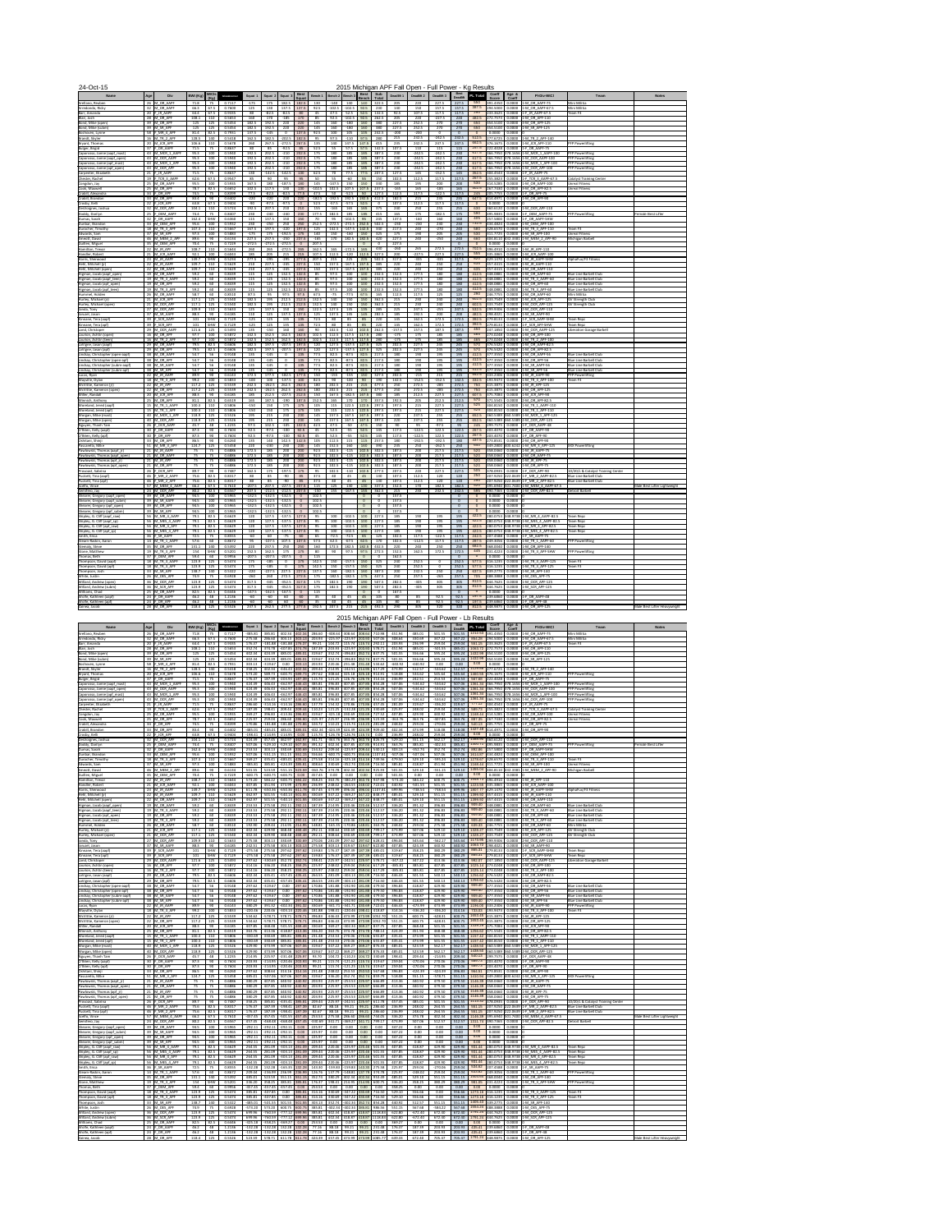| <b>Name</b>                                                  | Age           | <b>Div</b>                           | BWt (Kg)       | <b>WtCIs</b><br>(Kg)    | Glossbrenner     | <b>Squat</b>         | Sauat 2              | <b>Squat</b>         | Squa                            | Bench 1          | l Bench 2∣Bench∶  |                            | <b>Bench</b>                     | <b>Sub</b><br>Total | Deadlift 1       | Deadlift 2           | Deadlift 3           | <b>Best</b><br><b>Deadlift</b> |              | <b>Coeff</b><br><b>Score</b>                                                              | Age &<br><b>Coeff</b> | <b>PI-Div-WtCl</b>                                                                    | Team                                                           | <b>Notes</b>                 |
|--------------------------------------------------------------|---------------|--------------------------------------|----------------|-------------------------|------------------|----------------------|----------------------|----------------------|---------------------------------|------------------|-------------------|----------------------------|----------------------------------|---------------------|------------------|----------------------|----------------------|--------------------------------|--------------|-------------------------------------------------------------------------------------------|-----------------------|---------------------------------------------------------------------------------------|----------------------------------------------------------------|------------------------------|
| Arellano, Reuben                                             |               | 26 M OR AAPF                         | 71.8           | 75                      | 0.7117           | $-175$               | 175                  | 182.5                | 182.5                           | 130              | $-140$            | 140                        | 140                              | 322.5               | 205              | 220                  | 227.5                | 227.5                          | 550          | 391.4350                                                                                  | 0.0000                | 1-M OR AAPF-75                                                                        | Mini Militia                                                   |                              |
| Arredondo, Ricky<br>Barr, Amanda                             |               | 32 M OR AAPF<br>20 $F$ JR AAPF       | 66.3<br>64.4   | 67.5<br>67.5            | 0.7600<br>0.9335 | 125<br>-80           | 130<br>$-82.5$       | 137.5<br>$-82.5$     | 137.5<br>80                     | 92.5<br>45       | $-102.5$<br>47.5  | $-102.5$<br>52.5           | 92.5<br>52.5                     | 230<br>132.5        | 140<br>92.5      | 150<br>107.5         | 157.5<br>117.5       | 157.5<br>117.5                 | 250          | 387.5 294.5000<br>233.3625                                                                | 0.0000<br>0.0000      | 1-M OR AAPF-67.<br>1-F JR AAPF-67.5                                                   | Mini Militia<br>Team F3                                        |                              |
| Blair, Josh                                                  |               | 28 M OR APF                          | 108.1          | 110                     | 0.5653           | 160                  | 170                  | $-185$               | 170                             | 85               | 92.5              | $-102.5$                   | 92.5                             | 262.5               | 205              | 220                  | $-227.5$             | 220                            |              | 482.5 272.7573                                                                            |                       | 0.0000 1-M OR APF-110                                                                 |                                                                |                              |
| Bond, Mike (open)<br>Bond, Mike (subm)                       |               | 39 M OR APF<br>39 M SR APF           | 125<br>125     | 125<br>125              | 0.5454<br>0.5454 | 182.5<br>182.5       | 192.5<br>192.5       | 220<br>220           | 220<br>220                      | 145<br>145       | 160<br>160        | $-180$<br>-180             | 160<br>160                       | 380<br>380          | 227.5<br>227.5   | 252.5<br>252.5       | 270<br>270           | 270<br>270                     | 650<br>650   | 354.5100<br>354.5100                                                                      |                       | 0.0000 3-M OR APF-125<br>0.0000 1-M SR APF-125                                        |                                                                |                              |
| Boshoven, Lynne                                              |               | 58 F MR 4 APF                        | 81.4           | 82.5                    | 0.7931           | 137.5                | $-145$               |                      | 137.5                           | 92.5             | 100               | 105                        | 105                              | 242.5               | $-200$           | $-200$               |                      |                                |              | 0.0000                                                                                    | 0.0000                |                                                                                       |                                                                |                              |
| Brandt, Skyler<br>Bryant, Thomas                             |               | 16 M TR 2 APF<br>20 M JCR APF        | 128.5<br>106.6 | 140                     | 0.5418<br>0.5678 | 162.5<br>260         | 182.5<br>267.5       | $-202.5$             | 182.5<br>$-272.5$ 267.5         | - 95<br>135      | 97.5<br>140       | $-110$<br>147.5            | 97.5<br>147.5                    | 280<br>415          | 215<br>235       | 232.5<br>242.5       | $-242.5$<br>247.5    | 232.5<br>247.5                 |              | 512.5 277.6725<br>662.5 376.1675                                                          | 0.0000<br>0.0000      | 1-M TR 2 APF-140<br>$1-M$ JCR APF-110                                                 | <b>PFP Powerlifting</b>                                        |                              |
| Bulger, Brigid                                               |               | 37 F OR AAPF                         | 71.5           | 75                      | 0.8637           | 80                   | 85                   | $-92.5$              | 85                              | 52.5             | 55                | 57.5                       | 57.5                             | 142.5               | 107.5            | 110                  | 115                  | 115                            |              | 257.5 222.4028                                                                            |                       | 0.0000 1-F OR AAPF-75                                                                 |                                                                |                              |
| Caporosso, Jamie (aapf mast)                                 |               | 43 M MCR 1 AAPI                      | 95.3           | 100                     | 0.5940           | 192.5                | 202.5                | $-210$               | 202.5                           | 175              | 180               | 185                        | 185                              | 387.5               | 230              | $-242.5$             | $-242.5$             | 230                            | 617.5        |                                                                                           |                       | 366.7950 378.1656 1-M MCR 1 AAPF-100                                                  | <b>PFP Powerlifting</b>                                        |                              |
| Caporosso, Jamie (aapf_open)<br>Caporosso, Jamie (apf mast)  |               | 43  M OCR AAPF<br>43   M MCR 1 API   | 95.3<br>95.3   | 100<br>100              | 0.5940<br>0.5940 | 192.5<br>192.5       | 202.5<br>202.5       | $-210$<br>$-210$     | 202.5<br>202.5                  | -175<br>175      | 180<br>180        | 185<br>185                 | 185<br>185                       | 387.5<br>387.5      | 230<br>230       | $-242.5$<br>$-242.5$ | $-242.5$<br>$-242.5$ | 230<br>230                     |              |                                                                                           |                       | 617.5 366.7950 378.1656 1-M OCR AAPF-100<br>617.5 366.7950 378.1656 1-M MCR 1 APF-100 | <b>PFP Powerlifting</b><br><b>PFP Powerlifting</b>             |                              |
| Caporosso, Jamie (apf_open)                                  |               | 43 M_OCR_APF                         | 95.3           | 100                     | 0.5940           | 192.5                | 202.5                | $-210$               | 202.5                           | 175              | 180               | 185                        | 185                              | 387.5               | 230              | $-242.5$             | $-242.5$             | 230                            |              |                                                                                           |                       | 617.5 366.7950 378.1656 1-M OCR APF-100                                               | <b>PFP Powerlifting</b>                                        |                              |
| Carpenter, Elizabeth<br>Chester, Rachel                      |               | 21 $F$ JR AAPF<br>19 $ F$ TCR 3 AAPF | 71.5<br>62.6   | 75<br>67.5              | 0.8637<br>0.9547 | 130<br>85            | $-142.5$<br>90       | $-142.5$<br>95       | 130<br>95                       | 62.5<br>-50      | 70<br>55          | 77.5<br>$-60$              | 77.5<br>55                       | 207.5<br>150        | 127.5<br>102.5   | 145<br>112.5         | $-152.5$<br>117.5    | 145<br>117.5                   | 267.5        | $352.5$ 304.4543<br> 255.3823                                                             |                       | $0.0000$ 1-F JR AAPF-75<br>0.0000 1-F TCR 3 AAPF-67.5                                 | <b>Catalyst Training Center</b>                                |                              |
| Congdon, Jay                                                 |               | 25 M OR AAPF                         | 95.5           | 100                     | 0.5935           | 167.5                | 180                  | $-187.5$             | 180                             | 145              | $-147.5$          | 150                        | 150                              | 330                 | 185              | 195                  | 200                  | 200                            | 530          | 314.5285                                                                                  | 0.0000                | 1-M OR AAPF-100                                                                       | <b>Unreal Fitness</b>                                          |                              |
| Cook, Maxwell<br>Crabill, Alexandra                          | 34 $F$ OR APF | 25 M OR APF                          | 78.7<br>74.5   | 82.5<br>75              | 0.6652<br>0.8399 | 102.5<br>77.5        | 117.5<br>$-82.5$     | 130<br>$-82.5$       | 130<br>77.5                     | $-102.5$<br>47.5 | 102.5<br>50       | 107.5<br>$-52.5$           | 107.5<br>50                      | 237.5<br>127.5      | $-165$<br>112.5  | 165<br>117.5         | $-185$<br>$-122.5$   | 165<br>117.5                   | 245          | 402.5 267.7430<br>205.7755                                                                | 0.0000                | $0.0000$ 3-M OR APF-82.5<br>1-F OR APF-75                                             | <b>Unreal Fitness</b>                                          |                              |
| Crabill, Brandon                                             |               | 33 M OR APF                          | 83.4           | 90                      | 0.6402           | $-220$               | $-220$               | 220                  | 220                             | $-182.5$         | $-192.5$          | 192.5                      | 192.5                            | 412.5               | 182.5            | 215                  | 235                  | 235                            | 647.5        | 414.4971                                                                                  |                       | 0.0000 1-M OR APF-90                                                                  |                                                                |                              |
| Crosby, Kelli<br>DesVoignes, Joshua                          |               | 22 $F$ JCR APF<br>32 M OCR APF       | 63.8<br>104.1  | 67.5<br>110             | 0.9404<br>0.5724 | $-90$<br>192.5       | $-97.5$<br>207.5     | $-97.5$<br>210       | $\overline{0}$<br>210           | 52.5<br>155      | $-57.5$<br>$-165$ | $-57.5$<br>165             | 52.5<br>165                      | 375                 | 107.5<br>240     | 112.5<br>250         | 117.5<br>255         | 117.5<br>255                   | 630          | 0.0000<br>360.6120                                                                        | 0.0000<br>0.0000      | 1-M OCR APF-110                                                                       |                                                                |                              |
| Doddy, Darilyn                                               |               | 25 F OEM AAPF                        | 74.4           | 75                      | 0.8407           | 230                  | $-240$               | $-240$               | 230                             | 177.5            | 182.5             | 185                        | 185                              | 415                 | 165              | 175                  | $-182.5$             | 175                            |              | 495.9835                                                                                  | 0.0000                | 1-F OEM AAPF-75                                                                       | <b>PFP Powerlifting</b>                                        | <b>Female Best Lifter</b>    |
| Dumas, Sarah                                                 |               | 32 F OR AAPF                         | 162.4          | SHW                     | 0.6360           | 115                  | 137.5                | 150                  | 150                             | 70               | 95<br>$-272.5$    | $-102.5$<br>$-272.5$ 252.5 | 95                               | 245<br>502.5        | 137.5<br>$-230$  | $-160$               | 160                  | 160                            | 405<br>732.5 | 257.5800<br>434.4824                                                                      | 0.0000                | 0.0000 1-F OR AAPF-SHW<br>1-M OEM APF-100                                             |                                                                |                              |
| Dunbar, Brandon<br>Durocher, Timothy                         |               | 33 M OEM APF<br>18 M TR 3 APF        | 95.6<br>107.3  | 100                     | 0.5932<br>0.5667 | 230<br>167.5         | $-250$<br>197.5      | 250<br>$-220$        | 250<br>197.5                    | 252.5<br>125     | 142.5             | $-147.5$                   | 142.5                            | 340                 | 217.5            | $-230$<br>240        | 230<br>$-270$        | 230<br>240                     | 580          | 328.657                                                                                   | 0.0000                | 1-M TR 3 APF-110                                                                      | Team F3                                                        |                              |
| Edwards, Sam                                                 |               | 37 M SR APF                          | 97.3           | 100                     | 0.5883           | $-175$               | 175                  | $-192.5$             | 175                             | 140              | 150               | $-160$                     | 150                              | 325                 | 175              | 190                  | 205                  | 205                            | 530          | 311.7725                                                                                  | 0.0000                | 1-M SR APF-100                                                                        | <b>Unreal Fitness</b>                                          |                              |
| Emeott, David<br>Guillen, Miguel                             |               | 46   M MEM 2 AP<br>35 M OEM APF      | 89.6<br>70.4   | 90<br>75                | 0.6134<br>0.7229 | 227.5<br>$-272.5$    | 237.5<br>$-272.5$    | $-250$<br>$-272.5$   | 237.5                           | $-165$<br>207.5  | 170               | 182.5                      | 182.5<br>$\overline{0}$          | 420                 | 227.5<br>227.5   | 240                  | $-250$               | 240                            | 660          | 404.8110 <br>0.0000                                                                       | 0.0000                | 432.3381 1-M MEM 2 APF-90                                                             | Michigan Barbell                                               |                              |
| Hamilton, Trevor                                             |               | 22 M JR APF                          | 108.7          | 110                     | 0.5644           | 260                  | 265                  | $-272.5$             | 265                             | 162.5            | 165               | $-172.5$                   | 165                              | 430                 | $-260$           | 265                  | 272.5                | 272.5                          | 702.5        | 396.4910                                                                                  |                       | $0.0000$ 1-M JR APF-110                                                               |                                                                |                              |
| Handler, Robert<br>Harris, Sherwood                          |               | 21 M JCR AAPF<br>23 M JR AAPF        | 92.1<br>149.7  | 100<br><b>SHW</b>       | 0.6043<br>0.5234 | 185<br>277.5         | 205<br>$-295$        | 215<br>$-295$        | 215<br>277.5                    | 107.5<br>207.5   | 112.5<br>215      | -120<br>225                | 112.5<br>225                     | 327.5<br>502.5      | 200<br>317.5     | $-227.5$<br>$-335$   | 227.5<br>$-335$      | 227.5<br>317.5                 | 820          | 335.3865<br>429.1470                                                                      | 0.0000<br>0.0000      | $1-M$ JCR AAPF-100<br>1-M JR AAPF-SHW                                                 | AlphaFux/F3 Fitness                                            |                              |
| Hehl, Mitchell (jr)                                          |               | 22 M JR AAPF                         | 109.7          | L10                     | 0.5629           | 210                  | 227.5                | $-245$               | 227.5                           | 150              | 157.5             | $-167.5$                   | 157.5                            | 385                 | 220              | 240                  | 250                  | 250                            | 635          | 357.4415                                                                                  |                       | $0.0000$ 1-M JR AAPF-110                                                              |                                                                |                              |
| Hehl, Mitchell (open)<br>Higman, Jacob (aapf open)           |               | 22 M OR AAPF<br>19 M OR AAPF         | 109.7<br>59.2  | 60                      | 0.5629<br>0.8439 | 210<br>115           | 227.5<br>125         | $-245$<br>132.5      | 227.5<br>132.5                  | 150<br>- 85      | 157.5<br>97.5     | $-167.5$<br>100            | 157.5<br>100                     | 385<br>232.5        | 220<br>152.5     | 240<br>177.5         | 250<br>180           | 250<br>180                     | 635          | 357.4415<br>412.5 348.0881                                                                |                       | 0.0000 1-M OR AAPF-110<br>0.0000 1-M OR AAPF-60                                       | <b>Blue Line Barbell Club</b>                                  |                              |
| Higman, Jacob (aapf teen)                                    |               | 19 M TR 3 AAPF                       | 59.2           | 60                      | 0.8439           | 115                  | 125                  | 132.5                | 132.5                           | - 85             | 97.5              | 100                        | 100                              | 232.5               | 152.5            | 177.5                | 180                  | 180                            | 412.5        | 348.0881                                                                                  |                       | $0.0000$ 1-M TR 3 AAPF-60                                                             | <b>Blue Line Barbell Club</b>                                  |                              |
| Higman, Jacob (apf_open)<br>Higman, Jacob (apf_teen)         |               | 19 M OR APF<br>19 M TR 3 APF         | 59.2<br>59.2   | 60<br>60                | 0.8439<br>0.8439 | 115<br>115           | 125<br>125           | 132.5<br>132.5       | 132.5<br>132.5                  | - 85<br>85       | 97.5<br>97.5      | 100<br>100                 | 100<br>100                       | 232.5<br>232.5      | 152.5<br>152.5   | 177.5<br>177.5       | 180<br>180           | 180<br>180                     |              | 412.5 348.0881<br>412.5 348.0881                                                          |                       | $0.0000$ 1-M OR APF-60<br>0.0000 1-M TR 3 APF-60                                      | <b>Blue Line Barbell Club</b><br><b>Blue Line Barbell Club</b> |                              |
| Hummel, Holden                                               |               | 26 M OR AAPF                         | 58.7           | 60                      | 0.8510           | 87.5                 | 95                   | 97.5                 | 97.5                            | 67.5             | $-75$             | $-77.5$                    | 67.5                             | 165                 | 112.5            | 117.5                | 125                  | 125                            | 290          | 246.7755                                                                                  |                       | $0.0000$ 2-M OR AAPF-60                                                               | Mini Militia                                                   |                              |
| Hurley, Michael (jr)                                         |               | 21 M JCR APF                         | 117.1          | L25                     | 0.5540           | 182.5                | 195                  | 212.5                | 212.5                           | 132.5            | 140               | 150                        | 150                              | 362.5               | 215              | 230                  | 240                  | 240                            | 602.5        | 333.7549                                                                                  |                       | 0.0000 1-M JCR APF-125                                                                | <b>GV Strength Club</b>                                        |                              |
| Hurley, Michael (open)<br>Janda, Tony                        |               | 21 M OCR APF<br>27 M OCR APF         | 117.1<br>109.9 | 125<br>L10              | 0.5540<br>0.5633 | 182.5<br>125         | 195<br>137.5         | 150                  | $212.5$ 212.5<br>150            | 132.5<br>122.5   | 140<br>127.5      | 150<br>135                 | 150<br>135                       | 362.5<br>285        | 215<br>225       | 230<br>247.5         | 240<br>$-255$        | 240<br>247.5                   | 532.5        | $\begin{array}{ c c c c c c c c } \hline 602.5 & 333.7549 \hline \end{array}$<br>299.9306 |                       | 0.0000 3-M OCR APF-125<br>0.0000 2-M OCR APF-110                                      | <b>GV Strength Club</b>                                        |                              |
| Jaruzel, Jason                                               |               | 37 M SR AAPF                         | 88.3           | 90                      | 0.6185           | 110                  | 125                  | 137.5                | 137.5                           | 125              | 137.5             | 145                        | 145                              | 282.5               | 185              | 192.5                | 200                  | 200                            |              | 482.5 298.4021                                                                            |                       | 0.0000 1-M SR AAPF-90                                                                 |                                                                |                              |
| Kinnane, Tera (aapf)<br>Kinnane, Tera (apf)                  |               | 39 F SCR AAPF<br>39 F SCR APF        | 101<br>101     | SHW<br><b>SHW</b>       | 0.7129<br>0.7129 | $-125$<br>$-125$     | 125<br>125           | 135<br>135           | 135<br>135                      | 72.5<br>72.5     | 80<br>80          | 85<br>85                   | 85<br>85                         | 220<br>220          | 145<br>145       | 162.5<br>162.5       | 172.5<br>172.5       | 172.5<br>172.5                 | 392.5        | 392.5 279.8133<br> 279.8133                                                               |                       | $0.0000$ 1-F SCR AAPF-SHW<br>0.0000 1-F SCR APF-SHW                                   | Team Repz<br>Team Repz                                         |                              |
| Land, Christoper                                             |               | 29 M OCR AAPF                        | 121.6          | 125                     | 0.5493           | 135                  | $-150$               | 160                  | 160                             | -90              | 102.5             | $-110$                     | 102.5                            | 262.5               | $-157.5$         | 157.5                | 187.5                | 187.5                          | 450          | 247.1850                                                                                  |                       | 0.0000 1-M OCR AAPF-125                                                               | <b>Liberation Garage Barbell</b>                               |                              |
| Laurion, Ashtin (open)<br>Laurion, Ashtin (teen)             |               | 16 M OR APF<br>16 M TR 2 APF         | 97.7<br>97.7   | 100<br>100              | 0.5872<br>0.5872 | 142.5<br>142.5       | 152.5<br>152.5       | 162.5<br>162.5       | 162.5<br>162.5                  | 102.5<br>102.5   | 112.5<br>112.5    | 117.5<br>117.5 117.5       | 117.5                            | 280<br>280          | $-175$<br>$-175$ | 175<br>175           | 185<br>185           | 185<br>185                     | 465<br>465   | 273.0248<br>273.0248                                                                      |                       | 0.0000 1-M OR APF-100<br>$0.0000$ 1-M TR 2 APF-100                                    |                                                                |                              |
| LaVigne, Jason (aapf)                                        |               | 29 M OR AAPF                         | 79.5           | 82.5                    | 0.6606           | 182.5                | 197.5                | $-207.5$             | 197.5                           |                  | 127.5             | $-137.5$                   | 127.5                            | 325                 | 202.5            | 227.5                | 245                  | 245                            | 570          | 376.5420                                                                                  |                       | 0.0000 1-M OR AAPF-82.5                                                               |                                                                |                              |
| LaVigne, Jason (apf)<br>Lindsay, Christopher (open-aapf      |               | 29 $\vert$ M OR APF<br>38 M OR AAPF  | 79.5<br>54.7   | 82.5<br>56              | 0.6606<br>0.9148 | 182.5<br>135         | 197.5<br>$-145$      | $-207.5$             | 197.5<br>135                    | 120<br>77.5      | 127.5<br>82.5     | $-137.5$<br>$-87.5$        | 127.5<br>82.5                    | 325<br>217.5        | 202.5<br>180     | 227.5<br>190         | 245<br>195           | 245<br>195                     | 570          | 376.5420<br>$ 412.5 $ 377.3550                                                            |                       | $0.0000$ 1-M OR APF-82.5<br>0.0000 1-M OR AAPF-56                                     | <b>Blue Line Barbell Club</b>                                  |                              |
| Lindsay, Christopher (open-apf)                              |               | 38 M OR APF                          | 54.7           |                         | 0.9148           | 135                  | $-145$               |                      | 135                             | 77.5             | 82.5              | $-87.5$                    | 82.5                             | 217.5               | 180              | 190                  | 195                  | 195                            |              | 412.5 377.3550                                                                            | 0.0000                | $1-M$ OR APF-56                                                                       | <b>Blue Line Barbell Club</b>                                  |                              |
| Lindsay, Christopher (subm-aapf                              |               | 38 M SR AAPF<br>38 M SR APF          | 54.7<br>54.7   | 56                      | 0.9148<br>0.9148 | 135                  | $-145$<br>$-145$     |                      | 135                             | 77.5             | 82.5<br>82.5      | $-87.5$<br>$-87.5$         | 82.5                             | 217.5<br>217.5      | 180              | 190                  | 195                  | 195                            |              | 412.5 377.3550<br>$412.5$ 377.3550                                                        | 0.0000                | $1-M$ SR AAPF-56<br>$0.0000$ 1-M SR APF-56                                            | <b>Blue Line Barbell Club</b><br><b>Blue Line Barbell Club</b> |                              |
| Lindsay, Christopher (subm-apf)<br>Lucas, Ryan               |               | 22 M JR AAPF                         | 89.9           | 56                      | 0.6143           | 135<br>172.5         | 177.5                | $-182.5$             | 135<br>177.5                    | 77.5<br>150      | $-155$            | $-155$                     | 82.5<br>150                      | 327.5               | 180<br>202.5     | 190<br>$-215$        | 195<br>215           | 195<br>215                     |              | 542.5 333.2306                                                                            |                       | $0.0000$ 1-M JR AAPF-90                                                               | <b>PFP Powerlifting</b>                                        |                              |
| Mayville, Dylan                                              |               | 18 M TR 3 APF                        | 99.2           | 100                     | 0.5833           | $-100$               | 100                  | $-137.5$             | 100                             | 82.5             | 90                | $-100$                     | 90                               | 190                 | 142.5            | $-152.5$             | $-152.5$             | 142.5                          | 332.5        | 193.9473                                                                                  |                       | 0.0000 1-M TR 3 APF-100                                                               | Team F3                                                        |                              |
| McVittie, Kameron (jr)<br>McVittie, Kameron (open)           |               | 22 $M$ JR APF<br>22 $\vert$ M OR APF | 117.2<br>117.2 | 125                     | 0.5539<br>0.5539 | 242.5<br>242.5       | $-262.5$<br>$-262.5$ | 262.5                | 262.5<br>$262.5$ 262.5          | 180<br>180       | 202.5<br>202.5    | 215<br>215                 | 215<br>215                       | 477.5<br>477.5      | 250<br>250       | 272.5<br>272.5       | $-285$<br>$-285$     | 272.5<br>272.5                 | 750<br>750   | 415.3875<br>415.3875                                                                      | 0.0000                | 1-M JR APF-125<br>0.0000 2-M OR APF-125                                               |                                                                |                              |
| Miller, Randall                                              |               | 20 M JCR APF                         | 88.3           | 90                      | 0.6185           | 185                  | 212.5                |                      | $-227.5$ 212.5                  | 150              | 167.5             | $-182.5$                   | 167.5                            | 380                 | 185              | 212.5                | 227.5                | 227.5                          |              | 607.5 375.7084                                                                            |                       | $0.0000$ 1-M JCR APF-90                                                               |                                                                |                              |
| Minnich, Anthony<br>Moreland, Jered (aapf                    |               | 25 M OR APF<br>15 M TR 1 AAPF        | 81.1<br>100.3  | 82.5                    | 0.6519<br>0.5806 | 165<br>-150          | 187.5<br>150         | $-190$<br>175        | 187.5<br>175                    | 152.5            | 165<br>115        | 170<br>122.5               | 170<br>122.5                     | 357.5<br>297.5      | 192.5<br>197.5   | 205<br>215           | 212.5<br>227.5       | 212.5<br>227.5                 | 570<br>525   | 371.5545<br>304.8150                                                                      |                       | $0.0000$ 2-M OR APF-82.5<br>$0.0000$ 1-M TR 1 AAPF-110                                |                                                                |                              |
| Moreland, Jered (apf)                                        |               | 15 M TR 1 APF                        | 100.3          | 110                     | 0.5806           | $-150$               | 150                  | 175                  | 175                             |                  | 115               | 122.5                      | 122.5                            | 297.5               | 197.5            | 215                  | 227.5                | 227.5                          | 525          |                                                                                           |                       | 304.8150 0.0000 1-M TR 1 APF-110                                                      |                                                                |                              |
| Morgan, Mike (mast)<br>Morgan, Mike (open)                   |               | 40   M MCR 1 AP<br>40 M OCR APF      | 118.9<br>118.9 | 125                     | 0.5526<br>0.5526 | 195<br>195           | 215<br>215           | 230<br>230           | 230<br>230                      | 145<br>145       | 157.5<br>157.5    | 167.5<br>167.5 167.5       | 167.5                            | 397.5<br>397.5      | 220<br>220       | 237.5<br>237.5       | 255<br>255           | 255<br>255                     | 652.5        |                                                                                           |                       | 360.5389 360.5389 1-M MCR 1 APF-125<br>$652.5$ 360.5389 360.5389 2-M OCR APF-125      |                                                                |                              |
| Nguyen, Thanh Tam                                            |               | 26  F OCR AAPF                       | 45.7           | 48                      | 1.2235           | 97.5                 | 102.5                | $-105$               | 102.5                           | 42.5             | 47.5              | $-50$                      | 47.5                             | 150                 | 90               | 95                   | $-97.5$              | -95                            | 245          |                                                                                           |                       | $\vert$ 299.7575 $\vert$ 0.0000 1-F OCR AAPF-48                                       |                                                                |                              |
| O'Brien, Kelly (aapf)<br>O'Brien, Kelly (apf)                | 30 $F$ OR APF | 30 F OR AAPF                         | 87.3<br>87.3   | 90<br>90                | 0.7604<br>0.7604 | 92.5<br>92.5         | $-97.5$<br>$-97.5$   | $-100$<br>$-100$     | 92.5<br>92.5                    | -45<br>-45       | 52.5<br>52.5      | $-55$<br>$-55$             | 52.5<br>52.5                     | 145<br>145          | 117.5<br>117.5   | $-122.5$<br>$-122.5$ | 122.5<br>122.5       | 122.5<br>122.5                 |              | 267.5 203.4070<br>267.5 203.4070                                                          |                       | $0.0000$ 1-F OR AAPF-90<br>$0.0000$ 1-F OR APF-90                                     |                                                                |                              |
| Oshitani, Shinji                                             |               | 33 M OR APF                          | 86.5           | 90                      | 0.6260           | 135                  | 140                  | 142.5                | 142.5                           |                  | 112.5             | 115                        | 115                              | 257.5               | 180              | $-192.5$             | $-192.5$             | 180                            | 437.5        | 273.8531                                                                                  |                       | 0.0000 2-M OR APF-90                                                                  |                                                                |                              |
| Pascarella, Mike<br>Pawlowski, Thomas (aapf jr)              |               | 51 M MR 3 APF                        | 124.7          | 125                     | 0.5458<br>0.6886 | 220<br>172.5         | $-230$               | 230<br>200           | 230<br>200                      | 145              | 152.5<br>102.5    | 160                        | 160<br>102.5                     | 390<br>302.5        | 235<br>187.5     | 250                  | $-262.5$             | 250                            | 640<br>520   | 349.2800<br>358.0460                                                                      |                       | 400.6242 1-M MR 3 APF-125<br>$0.0000$ 1-M JR AAPF-75                                  | <b>XXX Powerlifting</b>                                        |                              |
| Pawlowski, Thomas (aapf_open                                 |               | 21 M JR AAPF<br>21 M OR AAPF         | 75<br>75       | 75<br>75                | 0.6886           | 172.5                | 185<br>185           | 200                  | 200                             | 92.5<br>92.5     | 102.5             | $-115$<br>$-115$           | 102.5                            | 302.5               | 187.5            | 200<br>200           | 217.5<br>217.5       | 217.5<br>217.5                 | 520          | 358.0460                                                                                  |                       | 0.0000 2-M OR AAPF-75                                                                 |                                                                |                              |
| Pawlowski, Thomas (apf_jr)                                   |               | 21 M JR APF                          | 75             | 75                      | 0.6886           | 172.5                | 185                  | 200                  | 200                             | 92.5             | 102.5             | $-115$                     | 102.5                            | 302.5               | 187.5            | 200                  | 217.5                | 217.5                          | 520          | 358.0460                                                                                  |                       | 0.0000 1-M JR APF-75                                                                  |                                                                |                              |
| Pawlowski, Thomas (apf open)<br>Provoast, Sabrina            |               | 21 $M$ OR APF<br>26 $F$ OCR APF      | 75<br>89.7     | 75<br>90                | 0.6886<br>0.7487 | 172.5<br>162.5       | 185<br>175           | 200<br>$-197.5$      | 200<br>175                      | 92.5<br>- 95     | 102.5<br>102.5    | $-115$<br>$-110$           | 102.5<br>102.5                   | 302.5<br>277.5      | 187.5<br>207.5   | 200<br>220           | 217.5<br>227.5       | 217.5<br>227.5                 | 520<br>505   | 358.0460<br>378.0935                                                                      |                       | 0.0000 1-M OR APF-75<br>0.0000 1-F OCR APF-90                                         | 10/20/L & Catalyst Training Center                             |                              |
| Puckett, Tina (aapf)                                         |               | 46 F MR 2 AAPF                       | 75.6           | 82.5                    | 0.8317           | 80                   | 85                   | $-90$                | 85                              | 37.5             | 40                | 45                         | 45                               | 130                 | 107.5            | 112.5                | 120                  | 120                            | 250          | 207.9250                                                                                  |                       | 222.0639 1-F MR 2 AAPF-82.5                                                           | <b>Blue Line Barbell Club</b>                                  |                              |
| Puckett, Tina (apf)<br>Scelfo, Vince                         |               | 46 F MR 2 APF<br>57 M MEM 4 AAPF     | 75.6<br>66.2   | 82.5<br>67.5            | 0.8317<br>0.7610 | 80<br>$-207.5$       | 85<br>207.5          | -90                  | 85<br>$-227.5$ 207.5            | 37.5<br>115      | 40<br>125         | 45<br>130                  | 45<br>130                        | 130<br>337.5        | 107.5<br>152.5   | 112.5<br>170         | 120<br>182.5         | 120<br>182.5                   | 250<br>520   |                                                                                           |                       | 207.9250 222.0639 1-F MR 2 APF-82.5<br>395.6940 501.7400 1-M MEM 4 AAPF-67.5          | <b>Blue Line Barbell Club</b>                                  | Male Best Lifter Lightweight |
| Semifero, Jay                                                |               | 24 M OCR APF                         | 80.2           | 82.5                    | 0.6567           | 207.5                | $-212.5$             |                      | $-212.5$ 207.5                  | $-150$           | 155               | $-167.5$                   | 155                              | 362.5               | 215              | 230                  | 232.5                | 232.5                          | 595          | 390.7365                                                                                  |                       | 0.0000 1-M OCR APF-82.5                                                               | Detroit Barbell                                                |                              |
| Shearer, Gregory (aapf open)<br>Shearer, Gregory (aapf_subm) |               | 39 M OR AAPF<br>39 M SR AAPF         | 94.5<br>94.5   | 100<br>100              | 0.5965<br>0.5965 | $-132.5$<br>$-132.5$ | $-132.5$<br>$-132.5$ | $-132.5$<br>$-132.5$ | $\overline{0}$                  | 102.5<br>102.5   |                   |                            | $\overline{0}$<br>$\overline{0}$ |                     | 157.5<br>157.5   |                      |                      | $\overline{0}$                 |              | 0.0000<br>0.0000                                                                          | 0.0000<br>0.0000      |                                                                                       |                                                                |                              |
| Shearer, Gregory (apf_open)                                  |               | 39 M OR APF                          | 94.5           | 100                     | 0.5965           | $-132.5$             | $-132.5$             | $-132.5$             |                                 | 102.5            |                   |                            | $\overline{0}$                   |                     | 157.5            |                      |                      | - 0                            |              | 0.0000                                                                                    | 0.0000                |                                                                                       |                                                                |                              |
| Shearer, Gregory (apf_subm)<br>Shipley, G. Cliff (aapf_raw)  |               | 39 M SR APF<br>56 M MR 4 AAP         | 94.5<br>79.1   | 100<br>82.5             | 0.5965<br>0.6629 | $-132.5$<br>120      | $-132.5$<br>127.5    | $-132.5$<br>$-137.5$ | $\overline{0}$<br>127.5         | 102.5<br>-95     | 100               | $-102.5$                   | $\overline{0}$<br>100            | 227.5               | 157.5<br>185     | 190                  | 195                  | 195                            |              | 0.0000<br>$422.5$ 280.0753                                                                | 0.0000                | 348.9738 1-M MR 4 AAPF-82.5                                                           | <b>Team Repz</b>                                               |                              |
| Shipley, G. Cliff (aapf_sp)                                  |               | 56 M MES 4 AAPF                      | 79.1           | 82.5                    | 0.6629           | 120                  | 127.5                |                      | $-137.5$ 127.5                  | - 95             | 100               | $-102.5$                   | 100                              | 227.5               | 185              | 190                  | 195                  | 195                            |              |                                                                                           |                       | 422.5 280.0753 348.9738 1-M MES 4 AAPF-82.                                            | Team Repz                                                      |                              |
| Shipley, G. Cliff (apf_raw)                                  |               | 56 M MR 4 APF                        | 79.1           | 82.5                    | 0.6629           | 120                  | 127.5                | $-137.5$             | 127.5                           | - 95             | 100               | $-102.5$                   | 100                              | 227.5               | 185              | 190                  | 195                  | 195                            |              |                                                                                           |                       | 422.5 280.0753 348.9738 1-M MR 4 APF-82.5                                             | Team Repz                                                      |                              |
| Shipley, G. Cliff (apf_sp)<br>Smith, Erica                   |               | 56 M MES 4 APF<br>36  F SR AAPF      | 79.1<br>72.5   | 82.5<br>75              | 0.6629<br>0.8555 | 120<br>$-60$         | 127.5<br>60          | $-137.5$<br>$-75$    | 127.5<br>60                     | - 95<br>-65      | 100<br>$-72.5$    | $-102.5$<br>$-72.5$        | 100<br>65                        | 227.5<br>125        | 185<br>102.5     | 190<br>117.5         | 195<br>$-122.5$      | 195<br>117.5                   |              | 242.5 207.4588                                                                            |                       | 422.5 280.0753 348.9738 1-M MES 4 APF-82.5<br>0.0000 1-F SR AAPF-75                   | <b>Team Repz</b>                                               |                              |
| Stearn-Raskin, Aaron                                         |               | 14   M TR 1 AAPF                     | 57.6           | 60                      | 0.8672           | -95                  | $-107.5$             | 107.5                | 107.5                           | 57.5             | 62.5              | $-67.5$                    | 62.5                             | 170                 | 102.5            | $-112.5$             | 117.5                | 117.5                          |              | 287.5 249.3056                                                                            |                       | $0.0000$ 1-M TR 1 AAPF-60                                                             | <b>PFP Powerlifting</b>                                        |                              |
| Stemaly, Steve<br>Stone, Matthew                             |               | 35 M OR APF<br>19 M TR 3 APF         | 131.1<br>154   | 140<br>SHW              | 0.5392<br>0.5201 | 220<br>152.5         | 237.5<br>162.5       | 250<br>175           | 250<br>175                      | 160<br>80        | 172.5<br>90       | 182.5<br>97.5              | 182.5<br>97.5                    | 432.5<br>272.5      | 220<br>152.5     | 240<br>162.5         | 250<br>172.5         | 250<br>172.5                   | 682.5<br>445 | 368.0040<br>231.4223                                                                      |                       | 0.0000 1-M OR APF-140<br>$0.0000$ 1-M TR 3 APF-SHW                                    | <b>PFP Powerlifting</b>                                        |                              |
| Thomas, Beth                                                 |               | 37 F OEM APF                         | 59.4           | 60                      | 0.9956           | $-207.5$             | $-207.5$             | $-207.5$             | $\overline{0}$                  | 115              |                   |                            | $\Omega$                         |                     | 162.5            |                      |                      | - 0                            |              | 0.0000                                                                                    | 0.0000                |                                                                                       |                                                                |                              |
| Thompson, David (aapf)<br>Thompson, David (apf               |               | 18 M TR 3 AAPF<br>18 M_TR_3_APF      | 123.9<br>123.9 | 125.<br>L <sub>25</sub> | 0.5474<br>0.5474 | 175<br>175           | -185<br>-185         |                      | 175<br>175                      | 142.5<br>142.5   | 150<br>150        | $-157.5$<br>$-157.5$       | 150<br>150                       | 325<br>325          | 240<br>240       | 252.5<br>252.5       |                      | 252.5<br>252.5                 | 577.5        | 316.1235<br>577.5 316.1235                                                                | 0.0000                | 1-M TR 3 AAPF-125<br>$0.0000$ 1-M TR 3 APF-125                                        | Team F3<br>Team F3                                             |                              |
| Thompson, Josh                                               |               | 33 M SR APF                          | 138.7          | 140                     | 0.5322           | $-220$               | $-227.5$             |                      | $227.5$ 227.5                   | 137.5            | 160               | $-182.5$                   | 160                              | 387.5               | 200              | 232.5                | 250                  | 250                            |              |                                                                                           |                       | 637.5 339.2775 0.0000 1-M SR APF-140                                                  |                                                                |                              |
| White, Justin<br>Willard, Andrew (open)                      |               | 26 M OES APF                         | 74.9           | 75                      | 0.6928           | $-260$               | 260                  |                      | $272.5$ 272.5<br>$-352.5$ 317.5 | 175              | $-182.5$          | $-182.5$                   | 175                              | 447.5               | 250              | 257.5                | $-265$               | 257.5                          | 705          | 488.3888<br>$812.5$ 444.7625                                                              |                       | 0.0000 1-M OES APF-75<br>0.0000 1-M OCR APF-125                                       |                                                                |                              |
| Willard, Andrew (subm)                                       |               | 36 M_OCR_APF<br>36 M_SCR_APF         | 123.9<br>123.9 | 125<br>125              | 0.5474<br>0.5474 | 317.5<br>317.5       | $-345$<br>$-345$     |                      | $-352.5$ 317.5                  | 175<br>175       | 182.5<br>182.5    | 190<br>190                 | 190<br>190                       | 507.5<br>507.5      | 282.5<br>282.5   | $-305$<br>$-305$     | 305<br>305           | 305<br>305                     |              |                                                                                           |                       | $812.5$ 444.7625 0.0000 1-M SCR APF-125                                               |                                                                |                              |
| Williams, Chad                                               |               | 25 M OR AAPF                         | 82.5           | 82.5                    | 0.6446           | $-147.5$             | $-162.5$             | $-167.5$             | $\overline{0}$                  | 115              |                   |                            | $\overline{0}$                   |                     | 167.5            |                      |                      | - 0                            |              | 0.0000                                                                                    | 0.0000                |                                                                                       |                                                                |                              |
| Wolfe, Kathleen (aapf)<br>Wolfe, Kathleen (apf)              | 24 $F$ OR APF | 24 $F$ OR AAPF                       | 46.2<br>46.2   | 48<br>48                | 1.2136<br>1.2136 | $-60$<br>-60         | $-60$<br>-60         | 60<br>60             | 60<br>60                        | 35<br>- 35       | 40<br>40          | 45<br>45                   | 45<br>45                         | 105<br>105          | 80<br>80         | 85<br>85             | 92.5<br>92.5         | 92.5<br>92.5                   |              | 197.5 239.6860<br>$197.5$ 239.6860                                                        |                       | $0.0000$ 1-F OR AAPF-48<br>$\vert$ 0.0000 $\vert$ 1-F OR APF-48                       |                                                                |                              |
| Zainea, Jacob                                                |               | 28 M_OR_APF                          | 118.4          | 125                     | 0.5526           | 237.5                | 262.5                |                      | 277.5 277.5                     | 192.5            | 207.5             | 215                        | $215$                            | 492.5               | 290              | 305                  | 320                  | 320                            |              |                                                                                           |                       | $812.5$ 448.9875 0.0000 1-M OR APF-125                                                |                                                                | Male Best Lifter Heavyweight |

2015 Michigan APF Fall Open - Full Power - Lb Results

|                  | ∆പല          |      | BWt $(Kg)$ $(Ka)$ | ) WtCls Glossbrenner Squat 1 Squat 2 Squat 3 Squat Bench 1 Bench 2 Bench 3 Best Sub Deadlift 1 Deadlift 2 Deadlift 3 Best PLTotal Coeff Age & Squat 1 Squat 2 Squat 1 Squat 1 Squat 1 Bench 7 otal Peadlift 1 Deadlift 2 Deadl |           |  |  |  |  |                                                                                                                            |  |  | <b>PI-Div-WtCl</b>                                                                                                                                                                                       |                | <b>Notes</b> |
|------------------|--------------|------|-------------------|--------------------------------------------------------------------------------------------------------------------------------------------------------------------------------------------------------------------------------|-----------|--|--|--|--|----------------------------------------------------------------------------------------------------------------------------|--|--|----------------------------------------------------------------------------------------------------------------------------------------------------------------------------------------------------------|----------------|--------------|
| Arellano, Reuben |              | 71.8 |                   | 0.7117                                                                                                                                                                                                                         | $-385.81$ |  |  |  |  |                                                                                                                            |  |  | 385.81   402.34   402.3 <mark>4  </mark> 286.60   -308.64   308.64   308.64   710.98     451.94     485.01     501.55   501.55   1212.53   391.4350   0.0000  1-M_OR_AAPF-75                             | Mini Militia   |              |
| Arredondo, Ricky | 32 M OR AAPF | 66.3 |                   | $0.7600$                                                                                                                                                                                                                       |           |  |  |  |  | 275.58   286.60   303.13   <mark>303.13  </mark> 203.93   225.97   225.97 <mark>  203.93  </mark> 507.06   308.64   330.69 |  |  | 347.22   347.22 <mark>  854.28  </mark> 294.5000   0.0000   1-M OR AAPF-67.5                                                                                                                             | Mini Militia   |              |
| Barr, Amanda     | 20 F JR AAPF | 64.4 |                   | $0.9335$                                                                                                                                                                                                                       |           |  |  |  |  |                                                                                                                            |  |  | 176.37  -181.88  -181.88 <mark>  176.37  </mark> 99.21   104.72   115.74 <mark>  115.74  </mark> 292.11   203.93   236.99   259.04   259.04 <mark>  551.15  </mark> 233.3625   0.0000   1-F_JR_AAPF-67.5 | <b>Team F3</b> |              |

| Barr, Amanda                                      | ZO JE JR AAPE                           | 64.4          | - 67.5     | 0.9335           | 1/6.3/              |           |                                              |        | 374.78 407.85 374.78 187.39                                   |        |      | -181.88   -181.88   176.37     99.21     104.72   115.74   115.74   292.11                                                   | 203.93              | 236.99           | 259.04              |                  |                    |                                   |               | 259.04   351.15   233.3625   0.0000   1-F JR AAPF-67.5                                                                      | Team F3                                |                              |
|---------------------------------------------------|-----------------------------------------|---------------|------------|------------------|---------------------|-----------|----------------------------------------------|--------|---------------------------------------------------------------|--------|------|------------------------------------------------------------------------------------------------------------------------------|---------------------|------------------|---------------------|------------------|--------------------|-----------------------------------|---------------|-----------------------------------------------------------------------------------------------------------------------------|----------------------------------------|------------------------------|
| Blair, Josh<br>Bond, Mike (open)                  | 28 M OR APF<br>39 M OR APF              | 108.1<br>125  | 110<br>125 | 0.5653<br>0.5454 | 352.74<br>402.34    |           |                                              |        |                                                               |        |      | 203.93   -225.97   203.93   578.71<br>424.39 485.01 485.01 319.67 352.74 396.83 352.74 837.75                                | 451.94<br>501.55    | 485.01<br>556.66 | $-501.55$<br>595.24 |                  |                    |                                   |               | 485.01 1063.72 272.7573 0.0000 1-M OR APF-110<br>595.24 1432.99 354.5100 0.0000 3-M OR APF-125                              |                                        |                              |
| Bond, Mike (subm)                                 | 39 M SR APF                             | 125           | 125        | 0.5454           | 402.34              |           |                                              |        | 424.39 485.01 485.01 319.67                                   |        |      | 352.74   -396.83 <mark>  352.74  </mark> 837.75                                                                              | 501.55              | 556.66           | 595.24              | 595.24           |                    |                                   |               | $1432.99$ 354.5100 0.0000 1-M SR APF-125                                                                                    |                                        |                              |
| Boshoven, Lynne                                   | 58 F MR 4 APF                           | 81.4          | 82.5       | 0.7931           | 303.13              | $-319.67$ | 0.00                                         |        | $ 303.13 $ 203.93                                             |        |      | 220.46   231.48   231.48   534.62                                                                                            | $-440.92$           | $-440.92$        | 0.00                | 0.00             | 0.00               | $0.0000$                          | 0.0000        |                                                                                                                             |                                        |                              |
| Brandt, Skyler                                    | 16 M TR 2 APF                           | 128.5         | 140        | 0.5418           | 358.25              |           |                                              |        | 402.34 446.43 402.34 209.44                                   |        |      | 214.95   -242.51   214.95   617.29                                                                                           | 473.99              | 512.57           | $-534.62$           | 512.57           |                    |                                   |               | $1129.86$ 277.6725 0.0000 1-M TR 2 APF-140                                                                                  |                                        |                              |
| Bryant, Thomas                                    | 20 M JCR APF                            | 106.6         | 110        | 0.5678           | 573.20              |           |                                              |        | 589.73 -600.75 589.73 297.62                                  |        |      | 308.64 325.18 325.18 914.91                                                                                                  | 518.08              | 534.62           | 545.64              | 545.64           |                    |                                   |               | $1460.55$ 376.1675 0.0000 1-M JCR APF-110                                                                                   | <b>PFP Powerlifting</b>                |                              |
| Bulger, Brigid                                    | 37 F OR AAPF                            | 71.5          | 75         | 0.8637           | 176.37              |           |                                              |        | 187.39 -203.93 187.39 115.74                                  |        |      | 121.25 126.76 126.76 314.16                                                                                                  | 236.99              | 242.51           | 253.53              | 253.53           |                    |                                   |               | $\vert$ 567.68 222.4028 0.0000 1-F OR AAPF-75                                                                               |                                        |                              |
| Caporosso, Jamie (aapf mast)                      | 43  M MCR 1 AAP                         | 95.3          | 100        | 0.5940           | 424.39              |           |                                              |        | 446.43 462.97 446.43 385.81                                   |        |      | 396.83 407.85 407.85 854.28                                                                                                  | 507.06              | $-534.62$        | $-534.62$           | 507.06           |                    |                                   |               | $1361.34$ 366.7950 378.1656 1-M MCR 1 AAPF-100                                                                              | <b>PFP Powerlifting</b>                |                              |
| Caporosso, Jamie (aapf open)                      | 43 M OCR AAPF                           | 95.3          | 100        | 0.5940           | 424.39              |           |                                              |        | 446.43 462.97 446.43 385.81                                   |        |      | 396.83 407.85 407.85 854.28                                                                                                  | 507.06              | $-534.62$        | $-534.62$           |                  |                    |                                   |               | 507.06 361.34 366.7950 378.1656 1-M OCR AAPF-100                                                                            | <b>PFP Powerlifting</b>                |                              |
| Caporosso, Jamie (apf_mast)                       | 43  M MCR 1 APF                         | 95.3          | 100        | 0.5940           | 424.39              |           |                                              |        | 446.43 462.97 446.43 385.81                                   |        |      | 396.83 407.85 407.85 854.28                                                                                                  | 507.06              | $-534.62$        | $-534.62$           |                  |                    |                                   |               | 507.06 361.34 366.7950 378.1656 1-M MCR 1 APF-100                                                                           | <b>PFP Powerlifting</b>                |                              |
| Caporosso, Jamie (apf_open)                       | 43 M OCR APF                            | 95.3          | 100        | 0.5940           | 424.39              |           |                                              |        | 446.43 462.97 446.43 385.81                                   |        |      | 396.83 407.85 407.85 854.28                                                                                                  | 507.06              | $-534.62$        | $-534.62$           | 507.06           |                    |                                   |               | 1361.34 366.7950 378.1656 1-M OCR APF-100                                                                                   | <b>PFP Powerlifting</b>                |                              |
| Carpenter, Elizabeth                              | 21 $F$ JR AAPF                          | 71.5          | 75         | 0.8637           | 286.60              |           |                                              |        | $-314.16$ $-314.16$ $286.60$ 137.79                           |        |      | 154.32 170.86 170.86 457.45                                                                                                  | 281.09              | 319.67           | $-336.20$           | 319.67           |                    |                                   |               | $\sqrt{777.12}$ 304.4543 0.0000 1-F JR AAPF-75                                                                              |                                        |                              |
| Chester, Rachel                                   | 19 $ F TCR 3 AAPF$                      | 62.6          | 67.5       | 0.9547           | 187.39              |           |                                              |        | 198.41 209.44 209.44 110.23                                   |        |      | 121.25 -132.28 121.25 330.69                                                                                                 | 225.97              | 248.02           | 259.04              | 259.04           |                    |                                   |               | $\vert$ 589.73 255.3823 0.0000 1-F TCR 3 AAPF-67.5                                                                          | <b>Catalyst Training Center</b>        |                              |
| Congdon, Jay                                      | 25 M OR AAPF                            | 95.5          | 100        | 0.5935           | 369.27              |           |                                              |        | 396.83 4413.36 396.83 319.67                                  |        |      | $-325.18$ 330.69 330.69 727.52                                                                                               | 407.85              | 429.90           | 440.92              | 440.92           |                    |                                   |               | $1168.44$ 314.5285 0.0000 1-M OR AAPF-100                                                                                   | <b>Unreal Fitness</b>                  |                              |
| Cook, Maxwell                                     | 25 $\vert$ M OR APF                     | 78.7          | 82.5       | 0.6652           | 225.97              |           |                                              |        | 259.04 286.60 286.60 -225.97                                  |        |      | 225.97 236.99 236.99 523.59                                                                                                  | $-363.76$           | 363.76           | $-407.85$           | 363.76           |                    |                                   |               | $\frac{1887.35}{267.7430}$ 0.0000 3-M OR APF-82.5                                                                           | <b>Unreal Fitness</b>                  |                              |
| Crabill, Alexandra                                | 34   F_OR_APF                           | 74.5          | 75         | 0.8399           | 170.86              |           |                                              |        |                                                               |        |      | $-181.88$ $\mid$ $-181.88$ $\mid$ $170.86$ $\mid$ $104.72$ $\mid$ $110.23$ $\mid$ $-115.74$ $\mid$ $110.23$ $\mid$ $281.09$  | 248.02              | 259.04           | $-270.06$           | 259.04           |                    |                                   |               | 540.13 205.7755 0.0000 1-F_OR_APF-75                                                                                        |                                        |                              |
| Crabill, Brandon                                  | 33 M OR APF                             | 83.4          | -90        | 0.6402           | $-485.01$           |           | $-485.01$ 485.01 485.01                      |        | $-402.34$                                                     |        |      | $-424.39$ 424.39 424.39 909.40                                                                                               | 402.34              | 473.99           | 518.08              | 518.08           | $1427.48$ 414.4971 |                                   |               | $0.0000$  1-M OR APF-90                                                                                                     |                                        |                              |
| Crosby, Kelli                                     | 22 F_JCR_APF                            | 63.8          | 67.5       | 0.9404           | $-198.41$           |           | $-214.95$ $-214.95$ 0.00                     |        | 115.74                                                        |        |      | $-126.76$ $-126.76$ $115.74$ 0.00                                                                                            | 236.99              | 248.02           | 259.04              | 259.04           | 0.00               | $0.0000$ $\vert$ 0.0000 $\vert$ 0 |               |                                                                                                                             |                                        |                              |
| DesVoignes, Joshua                                | 32 M OCR APF                            | 104.1         | 110        | 0.5724           | 424.39              |           |                                              |        | 457.45 462.97 462.97 341.71                                   |        |      | -363.76   363.76   <mark>363.76  </mark> 826.73                                                                              | 529.10              | 551.15           | 562.17              | 562.17           | $1388.90$ 360.6120 |                                   |               | 0.0000 1-M OCR APF-110                                                                                                      |                                        |                              |
| Doddy, Darilyn                                    | 25 F OEM AAPF                           | 74.4          | 75         | 0.8407           | 507.06              |           |                                              |        | $-529.10$ $-529.10$ $507.06$ 391.32                           |        |      | 402.34   407.85 <mark>  407.85  </mark> 914.91                                                                               | 363.76              | 385.81           | $-402.34$           | 385.81           |                    |                                   |               | $1300.71$ 495.9835 0.0000 1-F OEM AAPF-75                                                                                   | <b>PFP Powerlifting</b>                | Female Best Lifter           |
| Dumas, Sarah                                      | 32 F_OR_AAPF                            | 162.4         | SHW        | 0.6360           | 253.53              |           |                                              |        | 303.13 330.69 330.69 154.32                                   |        |      | 209.44   -225.97   209.44   540.13                                                                                           | 303.13              | $-352.74$        | 352.74              | 352.74           |                    |                                   |               | 892.86 257.5800 0.0000 1-F_OR_AAPF-SHW                                                                                      |                                        |                              |
| Dunbar, Brandon                                   | 33 M OEM APF                            | 95.6          | 100        | 0.5932           | 507.06              |           |                                              |        | $-551.15$ 551.15 551.15 556.66                                |        |      | -600.75   -600.75   <mark>556.66  </mark> 1107.81                                                                            | $-507.06$           | $-507.06$        | 507.06              | 507.06           |                    |                                   |               | $1614.87$ 434.4824 0.0000 1-M OEM APF-100                                                                                   |                                        |                              |
| Durocher, Timothy                                 | 18 M TR 3 APF                           | 107.3         | 110        | 0.5667           | 369.27              |           |                                              |        | 435.41 485.01 435.41 275.58                                   |        |      | 314.16 325.18 314.16 749.56                                                                                                  | 479.50              | 529.10           | $-595.24$           | 529.10           |                    |                                   |               | $1278.67$ 328.6570 0.0000 1-M TR 3 APF-110                                                                                  | Team F3                                |                              |
| Edwards, Sam                                      | 37 M SR APF                             | 97.3          | 100        | 0.5883           | $-385.81$           |           |                                              |        | 385.81 424.39 385.81 308.64                                   |        |      | 330.69 -352.74 330.69 716.50                                                                                                 | 385.81              | 418.87           | 451.94              | 451.94           |                    |                                   |               | $1168.44$ 311.7725 0.0000 1-M SR APF-100                                                                                    | <b>Unreal Fitness</b>                  |                              |
| Emeott, David                                     | 46   M MEM 2 AP                         | 89.6          | 90         | 0.6134           | 501.55              |           |                                              |        |                                                               |        |      | 523.59   -551.15   523.59   -363.76   374.78   402.34   402.34   925.93                                                      | 501.55              | 529.10           | $-551.15$           | 529.10           |                    |                                   |               | $1455.04$ 404.8110 432.3381 1-M_MEM_2_APF-90                                                                                | Michigan Barbell                       |                              |
| Guillen, Miguel                                   | 35 M OEM APF                            | 70.4          | 75         | 0.7229           | $-600.75$           |           | $-600.75$ $-600.75$ $0.00$                   |        | 457.45                                                        | 0.00   | 0.00 | 0.00<br>0.00                                                                                                                 | 501.55              | 0.00             | 0.00                | 0.00             | 0.00               | $0.0000$                          | 0.0000        |                                                                                                                             |                                        |                              |
| Hamilton, Trevor                                  | 22 $\vert$ M JR APF                     | 108.7         | 110        | 0.5644           | 573.20              |           |                                              |        | 584.22 -600.75 584.22 358.25                                  |        |      | 363.76 380.29 363.76 947.98                                                                                                  | $-573.20$           | 584.22           | 600.75              | 600.75           |                    |                                   |               | $1548.73$ 396.4910 0.0000 1-M JR APF-110                                                                                    |                                        |                              |
| Handler, Robert                                   | 21 M JCR AAPF                           | 92.1          | 100        | 0.6043           | 407.85              |           |                                              |        | 451.94 473.99 473.99 236.99                                   |        |      | 248.02 -264.55 248.02 722.01                                                                                                 | 440.92              | $-501.55$        | 501.55              | 501.55           |                    |                                   |               | 1223.55   335.3865   0.0000   1-M JCR AAPF-100                                                                              |                                        |                              |
| Harris, Sherwood                                  | 23 M JR AAPF                            | 149.7         | SHW        | 0.5234           | 611.78              |           |                                              |        | -650.36   -650.36   611.78   457.45                           |        |      | 473.99 496.04 496.04 1107.81                                                                                                 | 699.96              | $-738.54$        | $-738.54$           | 699.96           |                    |                                   |               | 1807.77 429.1470 0.0000 1-M JR AAPF-SHW                                                                                     | AlphaFux/F3 Fitness                    |                              |
| Hehl, Mitchell (jr)                               | 22 M JR AAPF                            | 109.7         | 110        | 0.5629           | 462.97              |           |                                              |        | 501.55 -540.13 501.55 330.69                                  |        |      | 347.22 -369.27 347.22 848.77                                                                                                 | 485.01              | 529.10           | 551.15              | 551.15           |                    |                                   |               | $1399.92$ 357.4415 0.0000 1-M JR AAPF-110                                                                                   |                                        |                              |
| Hehl, Mitchell (open)                             | 22 M OR AAPF                            | 109.7         | 110        | 0.5629           | 462.97              |           |                                              |        | 501.55 340.13 501.55 330.69                                   |        |      | 347.22 369.27 347.22 848.77                                                                                                  | 485.01              | 529.10           | 551.15              | 551.15           |                    |                                   |               | 1399.92 357.4415 0.0000 1-M OR AAPF-110                                                                                     |                                        |                              |
| Higman, Jacob (aapf open)                         | 19 M OR AAPF                            | 59.2          |            | 0.8439           | 253.53              |           |                                              |        |                                                               |        |      | 275.58   292.11  292.11   187.39   214.95   220.46   <mark>220.46</mark>   512.57                                            | 336.20              | 391.32           | 396.83              | 396.83           |                    |                                   |               | 909.40 348.0881 0.0000 1-M_OR_AAPF-60                                                                                       | <b>Blue Line Barbell Club</b>          |                              |
| Higman, Jacob (aapf teen)                         | 19 M TR 3 AAPF                          | 59.2          | 60         | 0.8439           | 253.53              |           |                                              |        | 275.58 292.11 292.11 187.39                                   |        |      | $\vert$ 214.95 $\vert$ 220.46 $\vert$ 220.46 $\vert$ 512.57                                                                  | 336.20              | 391.32           | 396.83              | 396.83           |                    |                                   |               | $\frac{909.40}{809.40}$ 348.0881 0.0000 1-M TR 3 AAPF-60                                                                    | <b>Blue Line Barbell Club</b>          |                              |
| Higman, Jacob (apf_open)                          | 19 M OR APF                             | 59.2          | -60        | 0.8439           | 253.53              |           |                                              |        | 275.58 292.11 292.11 187.39                                   |        |      | 214.95   220.46   220.46   512.57                                                                                            | 336.20              | 391.32           | 396.83              | 396.83           | $909.40$ 348.0881  |                                   |               | $0.0000$ $ 1-M$ OR APF-60                                                                                                   | <b>Blue Line Barbell Club</b>          |                              |
| Higman, Jacob (apf teen)                          | 19 M TR 3 APF                           | 59.2          | -60        | 0.8439           | 253.53              |           |                                              |        | 275.58 292.11 292.11 187.39                                   |        |      | 214.95 220.46 220.46 512.57                                                                                                  | 336.20              | 391.32           | 396.83              | 396.83           |                    |                                   |               | $\frac{1}{1009.40}$ 348.0881 0.0000 1-M TR 3 APF-60                                                                         | <b>Blue Line Barbell Club</b>          |                              |
| Hummel, Holden                                    | 26 M_OR_AAPF                            | 58.7          | 60         | 0.8510           | 192.90              |           |                                              |        | 209.44 214.95 214.95 148.81                                   |        |      | $\vert$ -165.35 $\vert$ -170.86 $\vert$ 148.81 $\vert$ 363.76                                                                | 248.02              | 259.04           | 275.58              | 275.58           |                    |                                   |               | $\frac{639.33}{246.7755}$ 0.0000 2-M OR AAPF-60                                                                             | Mini Militia                           |                              |
| Hurley, Michael (jr)                              | 21 M_JCR_APF                            | 117.1         | 125        | 0.5540           | 402.34              | 429.90    |                                              |        | 468.48 468.48 292.11                                          |        |      | 308.64 330.69 330.69 799.17                                                                                                  | 473.99              | 507.06           | 529.10              | 529.10           |                    |                                   |               | 1328.27 333.7549 0.0000 1-M_JCR_APF-125                                                                                     | <b>GV Strength Club</b>                |                              |
| Hurley, Michael (open)                            | 21 MOCR_APF                             | 117.1         | 125        | 0.5540           | 402.34              |           |                                              |        | 429.90 468.48 468.48 292.11                                   |        |      | 308.64   330.69 <mark>  330.69  </mark> 799.17                                                                               | 473.99              | 507.06           | 529.10              | 529.10           |                    |                                   |               | 1328.27 333.7549 0.0000 3-M_OCR_APF-125                                                                                     | <b>GV Strength Club</b>                |                              |
| Janda, Tony                                       | 27 M_OCR_APF                            | 109.9         | 110        | 0.5633           | 275.58              |           |                                              |        | 303.13 330.69 330.69 270.06                                   |        |      | 281.09 297.62 297.62 628.31                                                                                                  | 496.04              | 545.64           | $-562.17$           | 545.64           |                    |                                   |               | $1173.95$ 299.9306 0.0000 2-M OCR APF-110                                                                                   |                                        |                              |
| Jaruzel, Jason                                    | 37 M SR AAPF                            | 88.3          | -90<br>SHW | 0.6185           | 242.51              |           |                                              |        | 275.58 303.13 303.13 275.58                                   |        |      | 303.13 319.67 319.67 622.80                                                                                                  | 407.85              | 424.39           | 440.92<br>380.29    | 440.92           |                    |                                   |               | $1063.72$ 298.4021 0.0000 1-M SR AAPF-90<br><mark>  865.31  </mark> 279.8133   0.0000   1-F_SCR_AAPF-SHW                    |                                        |                              |
| Kinnane, Tera (aapf)                              | 39 F_SCR_AAPF                           | 101           |            | 0.7129           | $-275.58$           |           |                                              |        | 275.58 297.62 297.62 159.83                                   |        |      | 176.37   187.39 <mark>  187.39</mark>   485.01                                                                               | 319.67              | 358.25           | 380.29              | 380.29           |                    |                                   |               | 865.31 279.8133 0.0000 1-F_SCR_APF-SHW                                                                                      | Team Repz                              |                              |
| Kinnane, Tera (apf)                               | 39 F_SCR_APF<br>29 M OCR AAPF           | 101           | SHW        | 0.7129           | $-275.58$<br>297.62 |           |                                              |        | 275.58 297.62 297.62 159.83<br>$-330.69$ 352.74 352.74 198.41 |        |      | 176.37   187.39 <mark>187.39</mark> 485.01<br>225.97 -242.51 225.97 578.71                                                   | 319.67<br>$-347.22$ | 358.25<br>347.22 |                     | 380.29<br>413.36 |                    |                                   |               | 992.07 247.1850 0.0000 1-M OCR AAPF-125                                                                                     | Team Repz<br>Liberation Garage Barbell |                              |
| Land, Christoper<br>Laurion, Ashtin (open)        | 16 M OR APF                             | 121.6<br>97.7 | 125        | 0.5493<br>0.5872 | 314.16              |           |                                              |        | 336.20 358.25 358.25 225.97                                   |        |      | 248.02 259.04 259.04 617.29                                                                                                  | $-385.81$           | 385.81           | 413.36<br>407.85    | 407.85           |                    |                                   |               | $1025.14$ 273.0248 0.0000 1-M OR APF-100                                                                                    |                                        |                              |
| Laurion, Ashtin (teen)                            | 16 M TR 2 APF                           | 97.7          | 100<br>100 | 0.5872           | 314.16              |           |                                              |        | 336.20 358.25 358.25 225.97                                   |        |      | 248.02   259.04   259.04   617.29                                                                                            | $-385.81$           | 385.81           | 407.85              | 407.85           |                    |                                   |               | $1025.14$ 273.0248 0.0000 1-M TR 2 APF-100                                                                                  |                                        |                              |
| LaVigne, Jason (aapf)                             | 29 M OR AAPF                            | 79.5          | 82.5       | 0.6606           | 402.34              |           |                                              |        | 435.41 457.45 435.41 264.55                                   |        |      | 281.09 303.13 281.09 716.50                                                                                                  | 446.43              | 501.55           | 540.13              | 540.13           |                    |                                   |               | $1256.62$ 376.5420 0.0000 1-M OR AAPF-82.5                                                                                  |                                        |                              |
| LaVigne, Jason (apf)                              | 29 M_OR_APF                             | 79.5          | 82.5       | 0.6606           | 402.34              |           |                                              |        | 435.41 457.45 435.41 264.55                                   |        |      | $\vert$ 281.09 $\vert$ -303.13 281.09 716.50                                                                                 | 446.43              | 501.55           | 540.13              | 540.13           |                    |                                   |               | $1256.62$ 376.5420 0.0000 1-M OR APF-82.5                                                                                   |                                        |                              |
| Lindsay, Christopher (open-aapf)                  | 38 M OR AAPF                            | 54.7          | -56        | 0.9148           | 297.62              | $-319.67$ | $0.00\,$                                     |        | 297.62 170.86                                                 |        |      | 181.88 -192.90 181.88 479.50                                                                                                 | 396.83              | 418.87           | 429.90              | 429.90           | 909.40             |                                   |               | 377.3550 0.0000 1-M OR AAPF-56                                                                                              | <b>Blue Line Barbell Club</b>          |                              |
| Lindsay, Christopher (open-apf)                   | 38 M OR APF                             | 54.7          | 56         | 0.9148           | 297.62              | $-319.67$ | $0.00\,$                                     |        | 297.62 170.86                                                 |        |      | 181.88 -192.90 181.88 479.50                                                                                                 | 396.83              | 418.87           | 429.90              | 429.90           | 909.40             |                                   |               | $ 377.3550 $ 0.0000 1-M OR APF-56                                                                                           | <b>Blue Line Barbell Club</b>          |                              |
| Lindsay, Christopher (subm-aapf)                  | 38 M_SR_AAPF                            | 54.7          | 56         | 0.9148           | 297.62              | $-319.67$ | 0.00                                         |        | 297.62 170.86                                                 |        |      |                                                                                                                              | 396.83              | 418.87           | 429.90              | 429.90           |                    |                                   |               | 909.40 377.3550 0.0000 1-M SR AAPF-56                                                                                       | <b>Blue Line Barbell Club</b>          |                              |
| Lindsay, Christopher (subm-apf)                   | 38 M SR APF                             | 54.7          | -56        | 0.9148           | 297.62              | $-319.67$ | 0.00                                         |        | 297.62 170.86                                                 |        |      | 181.88 -192.90 181.88 479.50                                                                                                 | 396.83              | 418.87           | 429.90              | 429.90           | 909.40             |                                   |               | $ 377.3550 $ 0.0000 1-M SR APF-56                                                                                           | <b>Blue Line Barbell Club</b>          |                              |
| Lucas, Ryan                                       | 22 M JR AAPF                            | 89.9          | -90        | 0.6143           | 380.29              |           |                                              |        | 391.32 402.34 391.32 330.69                                   |        |      | $-341.71$ $-341.71$ $330.69$ 722.01                                                                                          | 446.43              | -473.99          | 473.99              | 473.99           |                    |                                   |               | $1196.00$ 333.2306 0.0000 1-M JR AAPF-90                                                                                    | <b>PFP Powerlifting</b>                |                              |
| Mayville, Dylan                                   | 18 M TR 3 APF                           | 99.2          | 100        | 0.5833           | $-220.46$           |           |                                              |        | 220.46 303.13 220.46 181.88                                   |        |      | 198.41 -220.46 198.41 418.87                                                                                                 | 314.16              | $-336.20$        | $-336.20$           | 314.16           |                    |                                   |               | $\vert$ 733.03   193.9473   0.0000   1-M_TR_3_APF-100                                                                       | Team F3                                |                              |
| McVittie, Kameron (jr)                            | 22 $\vert$ M JR APF                     | 117.2         | 125        | 0.5539           | 534.62              |           |                                              |        | $-578.71$ 578.71 578.71 396.83                                |        |      | 446.43 473.99 473.99 1052.70                                                                                                 | 551.15              | 600.75           | $-628.31$           | 600.75           |                    |                                   |               | $1653.45$ 415.3875 0.0000 1-M JR APF-125                                                                                    |                                        |                              |
| McVittie, Kameron (open)                          | 22 M OR APF                             | 117.2         | 125        | 0.5539           | 534.62              |           |                                              |        | $\vert$ -578.71   578.71   578.71   396.83                    |        |      | 446.43   473.99   <mark>473.99  </mark> 1052.70                                                                              | 551.15              | 600.75           | $-628.31$           | 600.75           |                    |                                   |               | $1653.45$ 415.3875 0.0000 2-M OR APF-125                                                                                    |                                        |                              |
| Miller, Randall                                   | 20 M_JCR_APF                            | 88.3          | 90         | 0.6185           | 407.85              |           |                                              |        | 468.48 -501.55 468.48 330.69                                  |        |      | 369.27 -402.34 369.27 837.75                                                                                                 | 407.85              | 468.48           | 501.55              | 501.55           |                    |                                   |               | $1339.29$ 375.7084 0.0000 1-M_JCR_APF-90                                                                                    |                                        |                              |
| Minnich, Anthony                                  | 25 M OR APF                             | 81.1          | 82.5       | 0.6519           | 363.76              |           |                                              |        | 413.36 418.87 413.36 336.20                                   |        |      | 363.76 374.78 374.78 788.14                                                                                                  | 424.39              | 451.94           | 468.48              | 468.48           |                    |                                   |               | $1256.62$ 371.5545 0.0000 2-M OR APF-82.5                                                                                   |                                        |                              |
| Moreland, Jered (aapf                             | 15  M TR 1 AAPF                         | 100.3         | 110        | 0.5806           | $-330.69$           |           |                                              |        | 330.69 385.81 385.81 231.48                                   |        |      | 253.53   270.06   270.06   655.87                                                                                            | 435.41              | 473.99           | 501.55              |                  |                    |                                   |               | 501.55 1157.42 304.8150 0.0000 1-M TR 1 AAPF-110                                                                            |                                        |                              |
| Moreland, Jered (apf)                             | 15 M TR 1 APF                           | 100.3         | 110        | 0.5806           | $-330.69$           |           |                                              |        | 330.69 385.81 385.81 231.48                                   |        |      | $\vert$ 253.53 $\vert$ 270.06 $\vert$ 270.06 655.87                                                                          | 435.41              | 473.99           | 501.55              |                  |                    |                                   |               | 501.55 $\mid$ 1157.42 304.8150 0.0000 1-M TR 1 APF-110                                                                      |                                        |                              |
| Morgan, Mike (mast)                               | 40 M MCR 1 APF                          | 118.9         | 125        | 0.5526           | 429.90              |           |                                              |        | 473.99 507.06 507.06 319.67                                   |        |      | 347.22 369.27 369.27 876.33                                                                                                  | 485.01              | 523.59           | 562.17              | 562.17           |                    |                                   |               | 1438.50 360.5389 360.5389 1-M_MCR_1_APF-125                                                                                 |                                        |                              |
| Morgan, Mike (open)                               | 40 M OCR APF                            | 118.9         | 125        | 0.5526           | 429.90              |           |                                              |        | 473.99 507.06 507.06 319.67                                   |        |      | 347.22 369.27 369.27 876.33                                                                                                  | 485.01              | 523.59           | 562.17              |                  |                    |                                   |               | 562.17 1438.50 360.5389 360.5389 2-M OCR APF-125                                                                            |                                        |                              |
| Nguyen, Thanh Tam                                 | 26   FOCR_AAPF                          | 45.7          | -48        | 1.2235           | 214.95              |           |                                              |        | 225.97 -231.48 225.97 93.70                                   |        |      | 104.72 -110.23 104.72 330.69                                                                                                 | 198.41              | 209.44           | $-214.95$           | 209.44           |                    |                                   |               | $\frac{1}{1540.13}$ 299.7575 0.0000 1-F OCR AAPF-48                                                                         |                                        |                              |
| O'Brien, Kelly (aapf)                             | 30  F_OR_AAPF                           | 87.3          |            | 0.7604           | 203.93              |           |                                              |        | $-214.95$ $-220.46$ $203.93$ 99.21                            |        |      | 115.74 -121.25 115.74 319.67                                                                                                 | 259.04              | $-270.06$        | 270.06              | 270.06           |                    |                                   |               | $\frac{1589.73}{203.4070}$ 0.0000 1-F OR AAPF-90                                                                            |                                        |                              |
| O'Brien, Kelly (apf)                              | 30 F OR APF                             | 87.3          |            | 0.7604           | 203.93              |           |                                              |        | $-214.95$ $-220.46$ $203.93$ 99.21                            |        |      | 115.74   -121.25   115.74   319.67                                                                                           | 259.04              | $-270.06$        | 270.06              | 270.06           |                    |                                   |               | $\frac{1589.73}{203.4070}$ 0.0000 1-F OR APF-90                                                                             |                                        |                              |
| Oshitani, Shinji                                  | 33 M OR APF                             | 86.5          | -90        | 0.6260           | 297.62              |           |                                              |        | 308.64 314.16 314.16 231.48                                   |        |      | 248.02   253.53   253.53   567.68                                                                                            | 396.83              | $-424.39$        | $-424.39$           |                  |                    |                                   |               | 396.83 964.51 273.8531 0.0000 2-M OR APF-90                                                                                 |                                        |                              |
| Pascarella, Mike                                  | 51 M MR 3 APF                           | 124.7         | $125$      | 0.5458           | 485.01              |           |                                              |        | $-507.06$ 507.06 507.06 319.67                                |        |      | 336.20 352.74 352.74 859.79                                                                                                  | 518.08              | 551.15           | $-578.71$           |                  |                    |                                   |               | 551.15 4410.94 349.2800 400.6242 1-M MR 3 APF-125                                                                           | <b>XXX Powerlifting</b>                |                              |
| Pawlowski, Thomas (aapf_jr)                       | 21 M JR AAPF                            | 75            | 75         | 0.6886           | 380.29              |           |                                              |        | 407.85 440.92 440.92 203.93                                   |        |      | $\vert$ 225.97 $\vert$ -253.53 225.97 666.89                                                                                 | 413.36              | 440.92           | 479.50              |                  |                    |                                   |               | 479.50 1146.39 358.0460 0.0000 1-M JR AAPF-75                                                                               |                                        |                              |
| Pawlowski, Thomas (aapf_open)                     | 21 M_OR_AAPF                            | 75            | 75         | 0.6886           | 380.29              |           |                                              |        | 407.85 440.92 440.92 203.93                                   |        |      | 225.97 -253.53 225. <mark>97</mark> 666.89                                                                                   | 413.36              | 440.92           | 479.50              |                  |                    |                                   |               | 479.50 1146.39 358.0460 0.0000 2-M OR AAPF-75                                                                               |                                        |                              |
| Pawlowski, Thomas (apf_jr)                        | 21 $\vert$ M JR APF                     | 75            | 75         | 0.6886           | 380.29              |           | 407.85 440.92 440.92 203.93                  |        |                                                               |        |      | 225.97 -253.53 225.97 666.89<br>225.97 -253.53 225.97 666.89                                                                 | 413.36              | 440.92           | 479.50              | 479.50           |                    |                                   |               | $1146.39$ 358.0460 0.0000 1-M JR APF-75<br>479.50 1146.39 358.0460 0.0000 1-M OR APF-75                                     |                                        |                              |
| Pawlowski, Thomas (apf open)<br>Provoast, Sabrina | 21 $M$ OR APF<br>26 F OCR APF           | 75<br>89.7    | 75<br>90   | 0.6886<br>0.7487 | 380.29<br>358.25    |           |                                              |        | 407.85 440.92 440.92 203.93<br>385.81 435.41 385.81 209.44    |        |      | 225.97 -242.51 225.97 611.78                                                                                                 | 413.36<br>457.45    | 440.92<br>485.01 | 479.50<br>501.55    |                  |                    |                                   |               | 501.55   1113.32   378.0935   0.0000   1-F OCR APF-90                                                                       | 10/20/L & Catalyst Training Center     |                              |
| Puckett, Tina (aapf)                              | 46   F MR 2 AAPF                        | 75.6          | 82.5       | 0.8317           | 176.37              |           | 187.39 -198.41 187.39                        |        | 82.67                                                         | 88.18  |      | $99.21$ 99.21 286.60                                                                                                         | 236.99              | 248.02           | 264.55              | 264.55           |                    |                                   |               | $\frac{1}{1551.15}$ 207.9250 222.0639 1-F MR 2 AAPF-82.5                                                                    | <b>Blue Line Barbell Club</b>          |                              |
| Puckett, Tina (apf)                               | 46 F MR 2 APF                           | 75.6          |            | 0.8317           | 176.37              |           | 187.39 -198.41 187.39 82.67                  |        |                                                               |        |      | 88.18 99.21 99.21 286.60                                                                                                     | 236.99              | 248.02           | 264.55              | 264.55           |                    |                                   |               | 551.15 207.9250 222.0639 1-F_MR_2_APF-82.5                                                                                  | <b>Blue Line Barbell Club</b>          |                              |
| Scelfo, Vince                                     | 57 M MEM 4 AAP                          | 66.2          | 67.5       | 0.7610           | $-457.45$           |           | 457.45 3501.55 457.45 253.53                 |        |                                                               |        |      | 275.58 286.60 286.60 744.05                                                                                                  | 336.20              | 374.78           | 402.34              | 402.34           |                    |                                   |               | $1146.39$ 395.6940 501.7400 1-M MEM 4 AAPF-67.5                                                                             |                                        | Male Best Lifter Lightweight |
| Semifero, Jay                                     | 24 M OCR APF                            | 80.2          | 82.5       | 0.6567           | 457.45              |           |                                              |        | $-468.48$   $-468.48$   $457.45$   $-330.69$                  |        |      | 341.71 369.27 341.71 799.17                                                                                                  | 473.99              | 507.06           | 512.57              | 512.57           |                    |                                   |               | $1311.74$ 390.7365 0.0000 1-M OCR APF-82.5                                                                                  | Detroit Barbell                        |                              |
| Shearer, Gregory (aapf_open)                      | 39 M OR AAPF                            | 94.5          | 100        | 0.5965           | $-292.11$           |           | $-292.11$ $-292.11$ 0.00                     |        | 225.97                                                        | 0.00   | 0.00 | 0.00<br>0.00                                                                                                                 | 347.22              | 0.00             | 0.00                | 0.00             | 0.00               | 0.0000                            | 0.0000        |                                                                                                                             |                                        |                              |
| Shearer, Gregory (aapf_subm)                      | 39 M SR AAPF                            | 94.5          | 100        | 0.5965           | $-292.11$           |           | $-292.11$ $-292.11$ $0.00$                   |        | 225.97                                                        | 0.00   | 0.00 | 0.00<br>0.00                                                                                                                 | 347.22              | 0.00             | 0.00                | 0.00             | 0.00               | 0.0000                            | $0.0000$ $ 0$ |                                                                                                                             |                                        |                              |
| Shearer, Gregory (apf_open)                       | 39 M OR APF                             | 94.5          | 100        | 0.5965           | $-292.11$           |           | $\vert$ -292.11 $\vert$ -292.11 $\vert$ 0.00 |        | 225.97                                                        | 0.00   | 0.00 | 0.00<br>0.00                                                                                                                 | 347.22              | 0.00             | $0.00\,$            | 0.00             | 0.00               | 0.0000                            | $0.0000$ 0    |                                                                                                                             |                                        |                              |
| Shearer, Gregory (apf_subm)                       | 39 M SR APF                             | 94.5          | 100        | 0.5965           | $-292.11$           |           | $-292.11$ $-292.11$ 0.00                     |        | 225.97                                                        | 0.00   | 0.00 | 0.00<br>0.00                                                                                                                 | 347.22              | 0.00             | 0.00                | 0.00             | 0.00               | 0.0000                            | 0.0000        |                                                                                                                             |                                        |                              |
| Shipley, G. Cliff (aapf_raw)                      | 56 M MR 4 AAPF                          | 79.1          | 82.5       | 0.6629           | 264.55              |           | 281.09 303.13 281.09                         |        | 209.44                                                        |        |      | 220.46 -225.97 220.46 501.55                                                                                                 | 407.85              | 418.87           | 429.90              | 429.90           | 931.44             |                                   |               | 280.0753 348.9738 1-M_MR_4_AAPF-82.5                                                                                        | <b>Team Repz</b>                       |                              |
| Shipley, G. Cliff (aapf_sp)                       | 56 M MES 4 AAPI                         | 79.1          | 82.5       | 0.6629           | 264.55              |           |                                              |        | 281.09 303.13 281.09 209.44                                   |        |      | 220.46 -225.97 220.46 501.55                                                                                                 | 407.85              | 418.87           | 429.90              | 429.90           |                    |                                   |               | 931.44 280.0753 348.9738 1-M MES 4 AAPF-82.5                                                                                | Team Repz                              |                              |
| Shipley, G. Cliff (apf_raw)                       | 56  M MR 4 APF                          | 79.1          | 82.5       | 0.6629           | 264.55              |           |                                              |        | 281.09 303.13 281.09 209.44                                   |        |      | 220.46 -225.97 220.46 501.55                                                                                                 | 407.85              | 418.87           | 429.90              | 429.90           |                    |                                   |               | 931.44 280.0753 348.9738 1-M MR 4 APF-82.5                                                                                  | <b>Team Repz</b>                       |                              |
| Shipley, G. Cliff (apf_sp)                        | 56 M MES 4 APF                          | 79.1          | 82.5       | 0.6629           | 264.55              |           |                                              |        | 281.09 303.13 281.09 209.44                                   |        |      | 220.46 -225.97 220.46 501.55                                                                                                 | 407.85              | 418.87           | 429.90              | 429.90           | 931.44             |                                   |               | $280.0753$ 348.9738 1-M MES 4 APF-82.5                                                                                      | <b>Team Repz</b>                       |                              |
| Smith, Erica                                      | 36 F_SR_AAPF                            | 72.5          | 75         | 0.8555           | $-132.28$           |           |                                              |        | 132.28 -165.35 132.28 143.30                                  |        |      | $-159.83$ $-159.83$ $143.30$ 275.58                                                                                          | 225.97              | 259.04           | $-270.06$           | 259.04           |                    |                                   |               | $\vert$ 534.62 207.4588 0.0000 1-F SR AAPF-75                                                                               |                                        |                              |
| Stearn-Raskin, Aaron                              | 14  M TR 1 AAPF                         | 57.6          | 60         | 0.8672           | 209.44              |           |                                              |        | $-236.99$ 236.99 236.99 126.76                                |        |      | 137.79   -148.81   137.79   374.78                                                                                           | 225.97              | $-248.02$        | 259.04              | 259.04           |                    |                                   |               | 633.82 249.3056 0.0000 1-M_TR_1_AAPF-60                                                                                     | <b>PFP Powerlifting</b>                |                              |
|                                                   | 35 M OR APF                             | 131.1         | 140        | 0.5392           | 485.01              |           |                                              |        | 523.59 551.15 551.15 352.74                                   |        |      | 380.29 402.34 402.34 953.49                                                                                                  | 485.01              | 529.10           | 551.15              | 551.15           |                    |                                   |               | $1504.64$ 368.0040 0.0000 1-M_OR_APF-140                                                                                    |                                        |                              |
| Stemaly, Steve                                    |                                         |               | SHW        | 0.5201           | 336.20              |           | 358.25 385.81 385.81                         |        | 176.37                                                        |        |      | 198.41 214.95 214.95 600.75                                                                                                  | 336.20              | 358.25           | 380.29              | 380.29           | $981.05$ 231.4223  |                                   |               | $0.0000$ 1-M TR 3 APF-SHW                                                                                                   | <b>PFP Powerlifting</b>                |                              |
| Stone, Matthew                                    | 19 M TR 3 APF                           | 154           |            |                  |                     |           | $-457.45$ $-457.45$ $0.00$                   |        | 253.53                                                        | 0.00   | 0.00 | 0.00<br>0.00                                                                                                                 | 358.25              | 0.00             | 0.00                | 0.00             | 0.00               | 0.0000                            | $0.0000$ $ 0$ |                                                                                                                             |                                        |                              |
| Thomas, Beth                                      | 37  F_OEM_APF                           | 59.4          | -60        | 0.9956           | $-457.45$           |           |                                              |        |                                                               |        |      |                                                                                                                              |                     |                  |                     |                  |                    |                                   |               |                                                                                                                             |                                        |                              |
| Thompson, David (aapf)                            | 18 M_TR_3_AAPF                          | 123.9         | 125        | 0.5474           | 385.81              | $-407.85$ | 0.00                                         | 385.81 | 314.16                                                        | 330.69 |      | $-347.22$ 330.69 716.50                                                                                                      | 529.10              | 556.66           | 0.00                | 556.66           |                    |                                   |               | $\frac{1273.16}{316.1235}$ 0.0000 1-M TR 3 AAPF-125                                                                         | Team F3                                |                              |
|                                                   | 18 M_TR_3_APF                           | 123.9         | 125        | 0.5474           | 385.81              |           | $-407.85$ 0.00                               |        | 385.81 314.16                                                 |        |      | 330.69 -347.22 330.69 716.50                                                                                                 | 529.10              | 556.66           | 0.00                | 556.66           |                    |                                   |               | 1273.16 316.1235 0.0000 1-M_TR_3_APF-125                                                                                    | Team F3                                |                              |
| Thompson, David (apf<br>Thompson, Josh            | 33 M_SR_APF                             | 138.7         | 140        | 0.5322           | $-485.01$           |           |                                              |        | $-501.55$ 501.55 501.55 303.13                                |        |      |                                                                                                                              | 440.92              | 512.57           | 551.15              | 551.15           |                    |                                   |               | $1405.43$ 339.2775 0.0000 1-M SR APF-140                                                                                    |                                        |                              |
|                                                   | 26 M OES APF                            | 74.9          | 75         | 0.6928           | $-573.20$           |           |                                              |        | $573.20$ 600.75 600.75 385.81                                 |        |      | $-402.34$ $-402.34$ 385.81 986.56                                                                                            | 551.15              | 567.68           | $-584.22$           |                  |                    |                                   |               | 567.68 354.24 488.3888 0.0000 1-M OES APF-75                                                                                |                                        |                              |
| White, Justin<br>Willard, Andrew (open)           | 36 M_OCR_APF                            | 123.9         | 125        | 0.5474           | 699.96              |           |                                              |        | $-760.59$ $-777.12$ 699.96 385.81                             |        |      | 402.34 418.87 418.87 1118.83                                                                                                 | 622.80              | $-672.40$        | 672.40              | 672.40           |                    |                                   |               | $1791.24$ 444.7625 0.0000 1-M OCR APF-125                                                                                   |                                        |                              |
| Willard, Andrew (subm)                            | 36 M_SCR_APF                            | 123.9         | 125        | 0.5474           | 699.96              |           |                                              |        | $-760.59$ $-777.12$ 699.96 385.81                             |        |      | 402.34   418.87 <mark>  418.87  </mark> 1118.83                                                                              | 622.80              | $-672.40$        | 672.40              | 672.40           |                    |                                   |               | $1791.24$ 444.7625 0.0000 1-M SCR APF-125                                                                                   |                                        |                              |
| Williams, Chad                                    | 25 M OR AAPF                            | 82.5          | 82.5       | 0.6446           |                     |           |                                              |        | $-325.18$ $-358.25$ $-369.27$ 0.00 253.53                     | 0.00   | 0.00 | 0.00<br>0.00                                                                                                                 | 369.27              | 0.00             | 0.00                | 0.00             | 0.00               | $0.0000$   0.0000   0             |               |                                                                                                                             |                                        |                              |
| Wolfe, Kathleen (aapf)                            | 24 F_OR_AAPF                            | 46.2          | 48         | 1.2136           |                     |           |                                              |        |                                                               |        |      | $-132.28$   $-132.28$   $132.28$   $132.28$   $77.16$   $88.18$   $99.21$   $99.21$   231.48   176.37                        |                     | 187.39           | 203.93              |                  |                    |                                   |               | 203.93   $435.41$   239.6860   0.0000   1-F OR AAPF-48                                                                      |                                        |                              |
| Wolfe, Kathleen (apf)<br>Zainea, Jacob            | 24 $F$ <sup>OR_APF</sup><br>28 M_OR_APF | 46.2<br>118.4 | 48<br>125  | 1.2136<br>0.5526 |                     |           |                                              |        |                                                               |        |      | $-132.28$ $\mid$ $-132.28$ $\mid$ $132.28$ $\mid$ $132.28$ 77.16 $\mid$ 88.18 $\mid$ 99.21 $\mid$ 99.21 231.48 $\mid$ 176.37 |                     | 187.39<br>672.40 | 203.93<br>705.47    |                  |                    |                                   |               | 203.93   435.41   239.6860   0.0000   1-F OR APF-48<br>  705.47 <mark>  1791.24  </mark> 448.9875   0.0000   1-M OR APF-125 |                                        | Male Best Lifter Heavyweight |

#### 2015 Michigan APF Fall Open - Full Power - Kg Results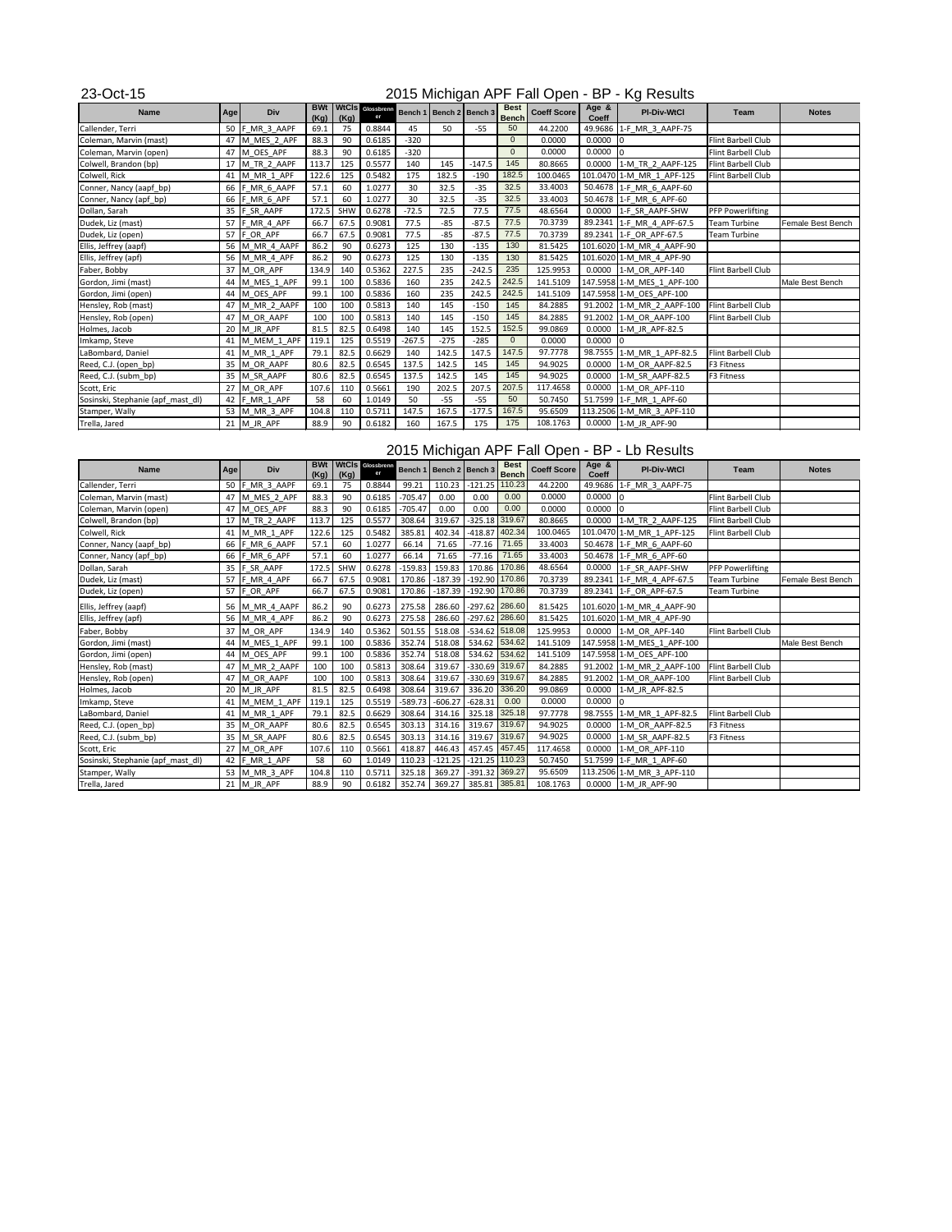| <b>Name</b>                       | Age | <b>Div</b>     | <b>BWt</b><br>(Kg) | (Kg) | <b>WtCIS</b> Glossbrenn<br>er |          | Bench 1   Bench 2   Bench 3 |          | <b>Best</b><br><b>Bench</b> | <b>Coeff Score</b> | Age &<br><b>Coeff</b> | <b>PI-Div-WtCl</b>         | <b>Team</b>             | <b>Notes</b>      |
|-----------------------------------|-----|----------------|--------------------|------|-------------------------------|----------|-----------------------------|----------|-----------------------------|--------------------|-----------------------|----------------------------|-------------------------|-------------------|
| Callender, Terri                  | 50  | F_MR_3_AAPF    | 69.1               | 75   | 0.8844                        | 45       | 50                          | $-55$    | 50                          | 44.2200            |                       | 49.9686 1-F MR 3 AAPF-75   |                         |                   |
| Coleman, Marvin (mast)            | 47  | M_MES_2_APF    | 88.3               | 90   | 0.6185                        | $-320$   |                             |          | $\overline{0}$              | 0.0000             | 0.0000                | 0                          | Flint Barbell Club      |                   |
| Coleman, Marvin (open)            |     | 47 M OES APF   | 88.3               | 90   | 0.6185                        | $-320$   |                             |          | $\Omega$                    | 0.0000             | 0.0000                |                            | Flint Barbell Club      |                   |
| Colwell, Brandon (bp)             | 17  | M TR 2 AAPF    | 113.7              | 125  | 0.5577                        | 140      | 145                         | $-147.5$ | 145                         | 80.8665            | 0.0000                | 1-M_TR_2_AAPF-125          | Flint Barbell Club      |                   |
| Colwell, Rick                     | 41  | M_MR_1_APF     | 122.6              | 125  | 0.5482                        | 175      | 182.5                       | $-190$   | 182.5                       | 100.0465           |                       | 101.0470 1-M MR 1 APF-125  | Flint Barbell Club      |                   |
| Conner, Nancy (aapf_bp)           |     | 66 F_MR_6_AAPF | 57.1               | 60   | 1.0277                        | 30       | 32.5                        | $-35$    | 32.5                        | 33.4003            |                       | 50.4678 1-F MR 6 AAPF-60   |                         |                   |
| Conner, Nancy (apf_bp)            |     | 66 F_MR_6_APF  | 57.1               | 60   | 1.0277                        | 30       | 32.5                        | $-35$    | 32.5                        | 33.4003            |                       | 50.4678 1-F MR 6 APF-60    |                         |                   |
| Dollan, Sarah                     | 35  | F SR AAPF      | 172.5              | SHW  | 0.6278                        | $-72.5$  | 72.5                        | 77.5     | 77.5                        | 48.6564            | 0.0000                | 1-F SR AAPF-SHW            | <b>PFP Powerlifting</b> |                   |
| Dudek, Liz (mast)                 |     | 57 F MR 4 APF  | 66.7               | 67.5 | 0.9081                        | 77.5     | $-85$                       | $-87.5$  | 77.5                        | 70.3739            |                       | 89.2341 1-F MR 4 APF-67.5  | <b>Team Turbine</b>     | Female Best Bench |
| Dudek, Liz (open)                 |     | 57 F OR APF    | 66.7               | 67.5 | 0.9081                        | 77.5     | $-85$                       | $-87.5$  | 77.5                        | 70.3739            |                       | 89.2341 1-F OR APF-67.5    | <b>Team Turbine</b>     |                   |
| Ellis, Jeffrey (aapf)             |     | 56 M MR 4 AAPF | 86.2               | 90   | 0.6273                        | 125      | 130                         | $-135$   | 130                         | 81.5425            |                       | 101.6020 1-M MR 4 AAPF-90  |                         |                   |
| Ellis, Jeffrey (apf)              |     | 56 M_MR_4_APF  | 86.2               | 90   | 0.6273                        | 125      | 130                         | $-135$   | 130                         | 81.5425            |                       | 101.6020 1-M MR 4 APF-90   |                         |                   |
| Faber, Bobby                      | 37  | M OR APF       | 134.9              | 140  | 0.5362                        | 227.5    | 235                         | $-242.5$ | 235                         | 125.9953           | 0.0000                | 1-M OR APF-140             | Flint Barbell Club      |                   |
| Gordon, Jimi (mast)               |     | 44 M_MES_1_APF | 99.1               | 100  | 0.5836                        | 160      | 235                         | 242.5    | 242.5                       | 141.5109           |                       | 147.5958 1-M MES 1 APF-100 |                         | Male Best Bench   |
| Gordon, Jimi (open)               | 44  | M OES APF      | 99.1               | 100  | 0.5836                        | 160      | 235                         | 242.5    | 242.5                       | 141.5109           |                       | 147.5958 1-M OES APF-100   |                         |                   |
| Hensley, Rob (mast)               |     | 47 M MR 2 AAPF | 100                | 100  | 0.5813                        | 140      | 145                         | $-150$   | 145                         | 84.2885            |                       | 91.2002 1-M MR 2 AAPF-100  | Flint Barbell Club      |                   |
| Hensley, Rob (open)               | 47  | M OR AAPF      | 100                | 100  | 0.5813                        | 140      | 145                         | $-150$   | 145                         | 84.2885            |                       | 91.2002 1-M_OR_AAPF-100    | Flint Barbell Club      |                   |
| Holmes, Jacob                     | 20  | M JR APF       | 81.5               | 82.5 | 0.6498                        | 140      | 145                         | 152.5    | 152.5                       | 99.0869            | 0.0000                | 1-M JR APF-82.5            |                         |                   |
| Imkamp, Steve                     |     | M MEM 1 APF    | 119.1              | 125  | 0.5519                        | $-267.5$ | $-275$                      | $-285$   | $\mathbf{0}$                | 0.0000             | 0.0000                | $\Omega$                   |                         |                   |
| LaBombard, Daniel                 | 41  | M MR 1 APF     | 79.1               | 82.5 | 0.6629                        | 140      | 142.5                       | 147.5    | 147.5                       | 97.7778            |                       | 98.7555 1-M MR 1 APF-82.5  | Flint Barbell Club      |                   |
| Reed, C.J. (open_bp)              | 35  | M OR AAPF      | 80.6               | 82.5 | 0.6545                        | 137.5    | 142.5                       | 145      | 145                         | 94.9025            | 0.0000                | 1-M OR AAPF-82.5           | F3 Fitness              |                   |
| Reed, C.J. (subm_bp)              |     | 35 M SR AAPF   | 80.6               | 82.5 | 0.6545                        | 137.5    | 142.5                       | 145      | 145                         | 94.9025            | 0.0000                | 1-M SR AAPF-82.5           | F3 Fitness              |                   |
| Scott, Eric                       | 27  | M OR APF       | 107.6              | 110  | 0.5661                        | 190      | 202.5                       | 207.5    | 207.5                       | 117.4658           | 0.0000                | 1-M OR APF-110             |                         |                   |
| Sosinski, Stephanie (apf_mast_dl) |     | 42 F_MR_1_APF  | 58                 | 60   | 1.0149                        | 50       | $-55$                       | $-55$    | 50                          | 50.7450            |                       | 51.7599 1-F MR 1 APF-60    |                         |                   |
| Stamper, Wally                    |     | 53 M MR 3 APF  | 104.8              | 110  | 0.5711                        | 147.5    | 167.5                       | $-177.5$ | 167.5                       | 95.6509            |                       | 113.2506 1-M MR 3 APF-110  |                         |                   |
| Trella, Jared                     |     | 21 $M$ JR APF  | 88.9               | 90   | 0.6182                        | 160      | 167.5                       | 175      | 175                         | 108.1763           |                       | 0.0000 1-M JR APF-90       |                         |                   |

| <b>Name</b>                       | <b>Age</b> | <b>Div</b>     | <b>BWt</b><br>(Kg) | (Kg)       | WtCls Glossbrenn |           | Bench 1   Bench 2   Bench 3 |                  | <b>Best</b><br><b>Bench</b> | <b>Coeff Score</b> | Age &<br><b>Coeff</b> | <b>PI-Div-WtCl</b>         | <b>Team</b>             | <b>Notes</b>      |
|-----------------------------------|------------|----------------|--------------------|------------|------------------|-----------|-----------------------------|------------------|-----------------------------|--------------------|-----------------------|----------------------------|-------------------------|-------------------|
| Callender, Terri                  | 50         | F MR 3 AAPF    | 69.1               | 75         | 0.8844           | 99.21     | 110.23                      | $-121.25$        | 110.23                      | 44.2200            |                       | 49.9686 1-F MR 3 AAPF-75   |                         |                   |
| Coleman, Marvin (mast)            |            | 47 M MES 2 APF | 88.3               | 90         | 0.6185           | $-705.47$ | 0.00                        | 0.00             | 0.00                        | 0.0000             | 0.0000                | In.                        | Flint Barbell Club      |                   |
| Coleman, Marvin (open)            |            | 47 M OES APF   | 88.3               | 90         | 0.6185           | $-705.47$ | 0.00                        | 0.00             | 0.00                        | 0.0000             | 0.0000                |                            | Flint Barbell Club      |                   |
| Colwell, Brandon (bp)             | 17         | M_TR_2_AAPF    | 113.7              | 125        | 0.5577           | 308.64    | 319.67                      | $-325.18$ 319.67 |                             | 80.8665            | 0.0000                | 1-M TR 2 AAPF-125          | Flint Barbell Club      |                   |
| Colwell, Rick                     | 41         | M MR 1 APF     | 122.6              | 125        | 0.5482           | 385.81    | 402.34                      | $-418.87$        | 402.34                      | 100.0465           | 101.0470              | 1-M MR 1 APF-125           | Flint Barbell Club      |                   |
| Conner, Nancy (aapf_bp)           | 66         | F MR 6 AAPF    | 57.1               | 60         | 1.0277           | 66.14     | 71.65                       | $-77.16$         | 71.65                       | 33.4003            | 50.4678               | 1-F MR 6 AAPF-60           |                         |                   |
| Conner, Nancy (apf_bp)            | 66         | F_MR_6_APF     | 57.1               | 60         | 1.0277           | 66.14     | 71.65                       | $-77.16$         | 71.65                       | 33.4003            |                       | 50.4678 1-F MR 6 APF-60    |                         |                   |
| Dollan, Sarah                     | 35         | F SR AAPF      | 172.5              | <b>SHW</b> | 0.6278           | $-159.83$ | 159.83                      | 170.86           | 170.86                      | 48.6564            | 0.0000                | 1-F SR AAPF-SHW            | <b>PFP Powerlifting</b> |                   |
| Dudek, Liz (mast)                 | 57         | F_MR_4_APF     | 66.7               | 67.5       | 0.9081           | 170.86    | $-187.39$                   | $-192.90$ 170.86 |                             | 70.3739            | 89.2341               | 1-F MR 4 APF-67.5          | Team Turbine            | Female Best Bench |
| Dudek, Liz (open)                 | 57         | F OR APF       | 66.7               | 67.5       | 0.9081           | 170.86    | $-187.39$                   | $-192.90$        | 170.86                      | 70.3739            | 89.2341               | 1-F OR APF-67.5            | Team Turbine            |                   |
| Ellis, Jeffrey (aapf)             | 56         | M_MR_4_AAPF    | 86.2               | 90         | 0.6273           | 275.58    | 286.60                      | $-297.62$ 286.60 |                             | 81.5425            |                       | 101.6020 1-M_MR_4_AAPF-90  |                         |                   |
| Ellis, Jeffrey (apf)              |            | 56 M MR 4 APF  | 86.2               | 90         | 0.6273           | 275.58    | 286.60                      | $-297.62$ 286.60 |                             | 81.5425            |                       | 101.6020 1-M_MR_4_APF-90   |                         |                   |
| Faber, Bobby                      | 37         | M OR APF       | 134.9              | 140        | 0.5362           | 501.55    | 518.08                      | $-534.62$ 518.08 |                             | 125.9953           | 0.0000                | 1-M OR APF-140             | Flint Barbell Club      |                   |
| Gordon, Jimi (mast)               |            | 44 M_MES_1_APF | 99.1               | 100        | 0.5836           | 352.74    | 518.08                      | 534.62 534.62    |                             | 141.5109           |                       | 147.5958 1-M MES 1_APF-100 |                         | Male Best Bench   |
| Gordon, Jimi (open)               | 44         | M OES APF      | 99.1               | 100        | 0.5836           | 352.74    | 518.08                      | 534.62           | 534.62                      | 141.5109           |                       | 147.5958 1-M OES APF-100   |                         |                   |
| Hensley, Rob (mast)               | 47         | M MR 2 AAPF    | 100                | 100        | 0.5813           | 308.64    | 319.67                      | $-330.69$        | 319.67                      | 84.2885            | 91.2002               | 1-M MR 2 AAPF-100          | Flint Barbell Club      |                   |
| Hensley, Rob (open)               | 47         | M OR AAPF      | 100                | 100        | 0.5813           | 308.64    | 319.67                      | -330.69 319.67   |                             | 84.2885            | 91.2002               | 1-M OR AAPF-100            | Flint Barbell Club      |                   |
| Holmes, Jacob                     |            | 20 $M$ JR APF  | 81.5               | 82.5       | 0.6498           | 308.64    | 319.67                      | 336.20           | 336.20                      | 99.0869            | 0.0000                | 1-M JR APF-82.5            |                         |                   |
| Imkamp, Steve                     | 41         | M MEM 1 APF    | 119.1              | 125        | 0.5519           | $-589.73$ | $-606.27$                   | $-628.31$        | 0.00                        | 0.0000             | 0.0000                | I٥                         |                         |                   |
| LaBombard, Daniel                 | 41         | M MR 1 APF     | 79.1               | 82.5       | 0.6629           | 308.64    | 314.16                      | 325.18           | 325.18                      | 97.7778            | 98.7555               | 1-M MR 1 APF-82.5          | Flint Barbell Club      |                   |
| Reed, C.J. (open_bp)              | 35         | M OR AAPF      | 80.6               | 82.5       | 0.6545           | 303.13    | 314.16                      | 319.67           | 319.67                      | 94.9025            | 0.0000                | 1-M OR AAPF-82.5           | F3 Fitness              |                   |
| Reed, C.J. (subm_bp)              |            | 35 M SR AAPF   | 80.6               | 82.5       | 0.6545           | 303.13    | 314.16                      | 319.67           | 319.67                      | 94.9025            | 0.0000                | 1-M SR AAPF-82.5           | F3 Fitness              |                   |
| Scott, Eric                       | 27         | M OR APF       | 107.6              | 110        | 0.5661           | 418.87    | 446.43                      | 457.45           | 457.45                      | 117.4658           | 0.0000                | 1-M OR APF-110             |                         |                   |
| Sosinski, Stephanie (apf_mast_dl) | 42         | F_MR_1_APF     | 58                 | 60         | 1.0149           | 110.23    | $-121.25$                   | $-121.25$        | 110.23                      | 50.7450            | 51.7599               | 1-F MR 1 APF-60            |                         |                   |
| Stamper, Wally                    |            | 53 M MR 3 APF  | 104.8              | 110        | 0.5711           | 325.18    | 369.27                      | $-391.32$        | 369.27                      | 95.6509            |                       | 113.2506 1-M MR 3 APF-110  |                         |                   |
| Trella, Jared                     |            | 21 M JR APF    | 88.9               | 90         | 0.6182           | 352.74    | 369.27                      | 385.81 385.81    |                             | 108.1763           |                       | 0.0000 1-M JR APF-90       |                         |                   |

# 2015 Michigan APF Fall Open - BP - Kg Results

### 2015 Michigan APF Fall Open - BP - Lb Results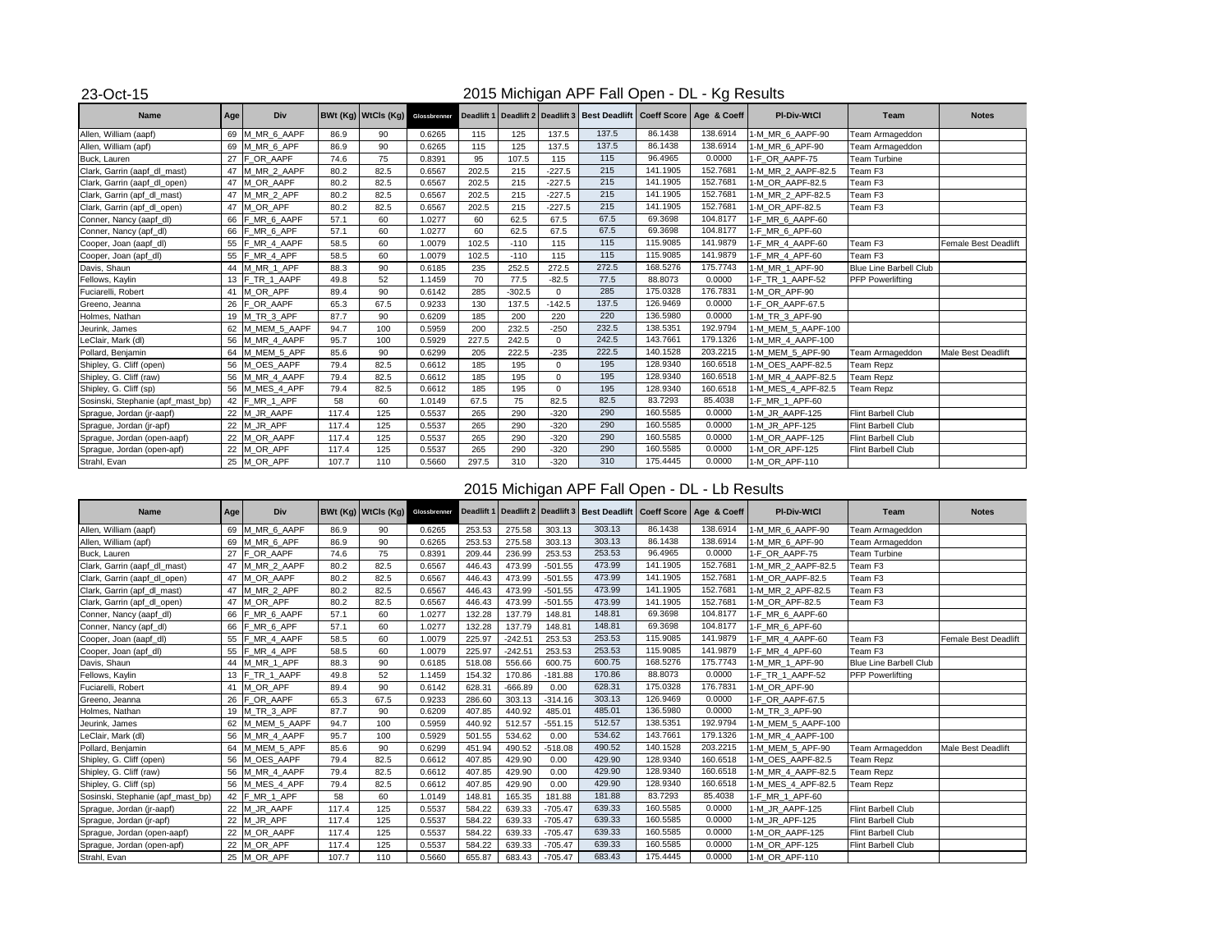| <b>Name</b>                       | <b>Age</b> | <b>Div</b>      |       |      |        |       |          |                | BWt (Kg)   WtCls (Kg)   Glossbrenner   Deadlift 1   Deadlift 2   Deadlift 3   Best Deadlift   Coeff Score   Age & Coeff |          |          | <b>PI-Div-WtCl</b> | Team                          | <b>Notes</b>                |
|-----------------------------------|------------|-----------------|-------|------|--------|-------|----------|----------------|-------------------------------------------------------------------------------------------------------------------------|----------|----------|--------------------|-------------------------------|-----------------------------|
| Allen, William (aapf)             |            | 69 M_MR_6_AAPF  | 86.9  | 90   | 0.6265 | 115   | 125      | 137.5          | 137.5                                                                                                                   | 86.1438  | 138.6914 | 1-M_MR_6_AAPF-90   | Team Armageddon               |                             |
| Allen, William (apf)              |            | 69 M MR 6 APF   | 86.9  | 90   | 0.6265 | 115   | 125      | 137.5          | 137.5                                                                                                                   | 86.1438  | 138.6914 | 1-M_MR_6_APF-90    | Team Armageddon               |                             |
| Buck, Lauren                      |            | 27 $F$ OR AAPF  | 74.6  | 75   | 0.8391 | 95    | 107.5    | 115            | 115                                                                                                                     | 96.4965  | 0.0000   | 1-F OR AAPF-75     | <b>Team Turbine</b>           |                             |
| Clark, Garrin (aapf_dl_mast)      |            | 47 M_MR_2_AAPF  | 80.2  | 82.5 | 0.6567 | 202.5 | 215      | $-227.5$       | 215                                                                                                                     | 141.1905 | 152.7681 | 1-M_MR_2_AAPF-82.5 | Team F <sub>3</sub>           |                             |
| Clark, Garrin (aapf_dl_open)      |            | 47 M OR AAPF    | 80.2  | 82.5 | 0.6567 | 202.5 | 215      | $-227.5$       | 215                                                                                                                     | 141.1905 | 152.7681 | 1-M OR AAPF-82.5   | Team F3                       |                             |
| Clark, Garrin (apf_dl_mast)       |            | 47 M MR 2 APF   | 80.2  | 82.5 | 0.6567 | 202.5 | 215      | $-227.5$       | $\boxed{215}$                                                                                                           | 141.1905 | 152.7681 | 1-M_MR_2_APF-82.5  | Team F <sub>3</sub>           |                             |
| Clark, Garrin (apf_dl_open)       |            | 47 M OR APF     | 80.2  | 82.5 | 0.6567 | 202.5 | 215      | $-227.5$       | 215                                                                                                                     | 141.1905 | 152.7681 | 1-M OR APF-82.5    | Team F3                       |                             |
| Conner, Nancy (aapf_dl)           |            | 66 F MR 6 AAPF  | 57.1  | 60   | 1.0277 | 60    | 62.5     | 67.5           | 67.5                                                                                                                    | 69.3698  | 104.8177 | 1-F_MR_6_AAPF-60   |                               |                             |
| Conner, Nancy (apf_dl)            |            | 66 F MR 6 APF   | 57.1  | 60   | 1.0277 | 60    | 62.5     | 67.5           | 67.5                                                                                                                    | 69.3698  | 104.8177 | 1-F_MR_6_APF-60    |                               |                             |
| Cooper, Joan (aapf_dl)            |            | 55 F_MR_4_AAPF  | 58.5  | 60   | 1.0079 | 102.5 | $-110$   | 115            | 115                                                                                                                     | 115.9085 | 141.9879 | 1-F_MR_4_AAPF-60   | Team F <sub>3</sub>           | <b>Female Best Deadlift</b> |
| Cooper, Joan (apf_dl)             |            | 55 F_MR_4_APF   | 58.5  | 60   | 1.0079 | 102.5 | $-110$   | 115            | 115                                                                                                                     | 115.9085 | 141.9879 | 1-F_MR_4_APF-60    | Team F <sub>3</sub>           |                             |
| Davis, Shaun                      |            | 44 M_MR_1_APF   | 88.3  | 90   | 0.6185 | 235   | 252.5    | 272.5          | 272.5                                                                                                                   | 168.5276 | 175.7743 | 1-M_MR_1_APF-90    | <b>Blue Line Barbell Club</b> |                             |
| Fellows, Kaylin                   |            | 13 F_TR_1_AAPF  | 49.8  | 52   | 1.1459 | 70    | 77.5     | $-82.5$        | 77.5                                                                                                                    | 88.8073  | 0.0000   | 1-F_TR_1_AAPF-52   | <b>PFP Powerlifting</b>       |                             |
| Fuciarelli, Robert                |            | 41 M_OR_APF     | 89.4  | 90   | 0.6142 | 285   | $-302.5$ | $\overline{0}$ | 285                                                                                                                     | 175.0328 | 176.7831 | 1-M_OR_APF-90      |                               |                             |
| Greeno, Jeanna                    |            | 26 F_OR_AAPF    | 65.3  | 67.5 | 0.9233 | 130   | 137.5    | $-142.5$       | 137.5                                                                                                                   | 126.9469 | 0.0000   | 1-F_OR_AAPF-67.5   |                               |                             |
| Holmes, Nathan                    |            | 19 M_TR_3_APF   | 87.7  | 90   | 0.6209 | 185   | 200      | 220            | 220                                                                                                                     | 136.5980 | 0.0000   | 1-M_TR_3_APF-90    |                               |                             |
| Jeurink, James                    |            | 62 M_MEM_5_AAPF | 94.7  | 100  | 0.5959 | 200   | 232.5    | $-250$         | 232.5                                                                                                                   | 138.5351 | 192.9794 | 1-M_MEM_5_AAPF-100 |                               |                             |
| LeClair, Mark (dl)                |            | 56 M_MR_4_AAPF  | 95.7  | 100  | 0.5929 | 227.5 | 242.5    | $\overline{0}$ | 242.5                                                                                                                   | 143.7661 | 179.1326 | 1-M_MR_4_AAPF-100  |                               |                             |
| Pollard, Benjamin                 |            | 64 M_MEM_5_APF  | 85.6  | 90   | 0.6299 | 205   | 222.5    | $-235$         | 222.5                                                                                                                   | 140.1528 | 203.2215 | 1-M_MEM_5_APF-90   | Team Armageddon               | Male Best Deadlift          |
| Shipley, G. Cliff (open)          |            | 56 M_OES_AAPF   | 79.4  | 82.5 | 0.6612 | 185   | 195      | $\Omega$       | 195                                                                                                                     | 128.9340 | 160.6518 | 1-M_OES_AAPF-82.5  | <b>Team Repz</b>              |                             |
| Shipley, G. Cliff (raw)           |            | 56 M_MR_4_AAPF  | 79.4  | 82.5 | 0.6612 | 185   | 195      | $\Omega$       | 195                                                                                                                     | 128.9340 | 160.6518 | 1-M_MR_4_AAPF-82.5 | <b>Team Repz</b>              |                             |
| Shipley, G. Cliff (sp)            |            | 56 M_MES_4_APF  | 79.4  | 82.5 | 0.6612 | 185   | 195      | $\Omega$       | 195                                                                                                                     | 128.9340 | 160.6518 | 1-M_MES_4_APF-82.5 | Team Repz                     |                             |
| Sosinski, Stephanie (apf_mast_bp) |            | 42 F_MR_1_APF   | 58    | 60   | 1.0149 | 67.5  | 75       | 82.5           | 82.5                                                                                                                    | 83.7293  | 85.4038  | 1-F_MR_1_APF-60    |                               |                             |
| Sprague, Jordan (jr-aapf)         |            | 22 M_JR_AAPF    | 117.4 | 125  | 0.5537 | 265   | 290      | $-320$         | 290                                                                                                                     | 160.5585 | 0.0000   | 1-M_JR_AAPF-125    | <b>Flint Barbell Club</b>     |                             |
| Sprague, Jordan (jr-apf)          |            | 22 M_JR_APF     | 117.4 | 125  | 0.5537 | 265   | 290      | $-320$         | 290                                                                                                                     | 160.5585 | 0.0000   | 1-M_JR_APF-125     | <b>Flint Barbell Club</b>     |                             |
| Sprague, Jordan (open-aapf)       |            | 22 M_OR_AAPF    | 117.4 | 125  | 0.5537 | 265   | 290      | $-320$         | 290                                                                                                                     | 160.5585 | 0.0000   | 1-M_OR_AAPF-125    | Flint Barbell Club            |                             |
| Sprague, Jordan (open-apf)        |            | 22 M_OR_APF     | 117.4 | 125  | 0.5537 | 265   | 290      | $-320$         | 290                                                                                                                     | 160.5585 | 0.0000   | 1-M_OR_APF-125     | <b>Flint Barbell Club</b>     |                             |
| Strahl, Evan                      |            | 25 M_OR_APF     | 107.7 | 110  | 0.5660 | 297.5 | 310      | $-320$         | 310                                                                                                                     | 175.4445 | 0.0000   | 1-M_OR_APF-110     |                               |                             |

# 2015 Michigan APF Fall Open - DL - Lb Results

| <b>Name</b>                       | Age | <b>Div</b>      |       | BWt (Kg)   WtCls (Kg) |        |        |           |           | Glossbrenner Deadlift 1   Deadlift 2   Deadlift 3   Best Deadlift   Coeff Score   Age & Coeff |          |          | <b>PI-Div-WtCl</b> | Team                          | <b>Notes</b>         |
|-----------------------------------|-----|-----------------|-------|-----------------------|--------|--------|-----------|-----------|-----------------------------------------------------------------------------------------------|----------|----------|--------------------|-------------------------------|----------------------|
| Allen, William (aapf)             |     | 69 M_MR_6_AAPF  | 86.9  | 90                    | 0.6265 | 253.53 | 275.58    | 303.13    | 303.13                                                                                        | 86.1438  | 138.6914 | 1-M_MR_6_AAPF-90   | Team Armageddon               |                      |
| Allen, William (apf)              |     | 69 M_MR_6_APF   | 86.9  | 90                    | 0.6265 | 253.53 | 275.58    | 303.13    | 303.13                                                                                        | 86.1438  | 138.6914 | 1-M_MR_6_APF-90    | Team Armageddon               |                      |
| Buck, Lauren                      |     | 27 FOR AAPF     | 74.6  | 75                    | 0.8391 | 209.44 | 236.99    | 253.53    | 253.53                                                                                        | 96.4965  | 0.0000   | 1-F_OR_AAPF-75     | <b>Team Turbine</b>           |                      |
| Clark, Garrin (aapf_dl_mast)      | 47  | M_MR_2_AAPF     | 80.2  | 82.5                  | 0.6567 | 446.43 | 473.99    | $-501.55$ | 473.99                                                                                        | 141.1905 | 152.7681 | 1-M_MR_2_AAPF-82.5 | Team F <sub>3</sub>           |                      |
| Clark, Garrin (aapf_dl_open)      |     | 47 M_OR_AAPF    | 80.2  | 82.5                  | 0.6567 | 446.43 | 473.99    | $-501.55$ | 473.99                                                                                        | 141.1905 | 152.7681 | 1-M_OR_AAPF-82.5   | Team F3                       |                      |
| Clark, Garrin (apf_dl_mast)       |     | 47 M_MR_2_APF   | 80.2  | 82.5                  | 0.6567 | 446.43 | 473.99    | $-501.55$ | 473.99                                                                                        | 141.1905 | 152.7681 | 1-M_MR_2_APF-82.5  | Team F3                       |                      |
| Clark, Garrin (apf_dl_open)       |     | 47 M_OR_APF     | 80.2  | 82.5                  | 0.6567 | 446.43 | 473.99    | $-501.55$ | 473.99                                                                                        | 141.1905 | 152.7681 | 1-M_OR_APF-82.5    | Team F3                       |                      |
| Conner, Nancy (aapf_dl)           |     | 66 F_MR_6_AAPF  | 57.1  | 60                    | 1.0277 | 132.28 | 137.79    | 148.81    | 148.81                                                                                        | 69.3698  | 104.8177 | 1-F_MR_6_AAPF-60   |                               |                      |
| Conner, Nancy (apf_dl)            |     | 66 F_MR_6_APF   | 57.1  | 60                    | 1.0277 | 132.28 | 137.79    | 148.81    | 148.81                                                                                        | 69.3698  | 104.8177 | 1-F_MR_6_APF-60    |                               |                      |
| Cooper, Joan (aapf_dl)            |     | 55 F_MR_4_AAPF  | 58.5  | 60                    | 1.0079 | 225.97 | $-242.51$ | 253.53    | 253.53                                                                                        | 115.9085 | 141.9879 | 1-F_MR_4_AAPF-60   | Team F3                       | Female Best Deadlift |
| Cooper, Joan (apf_dl)             |     | 55 F_MR_4_APF   | 58.5  | 60                    | 1.0079 | 225.97 | $-242.51$ | 253.53    | 253.53                                                                                        | 115.9085 | 141.9879 | 1-F_MR_4_APF-60    | Team F <sub>3</sub>           |                      |
| Davis, Shaun                      |     | 44 M_MR_1_APF   | 88.3  | 90                    | 0.6185 | 518.08 | 556.66    | 600.75    | 600.75                                                                                        | 168.5276 | 175.7743 | 1-M_MR_1_APF-90    | <b>Blue Line Barbell Club</b> |                      |
| Fellows, Kaylin                   |     | 13 F_TR_1_AAPF  | 49.8  | 52                    | 1.1459 | 154.32 | 170.86    | $-181.88$ | 170.86                                                                                        | 88.8073  | 0.0000   | 1-F_TR_1_AAPF-52   | <b>PFP Powerlifting</b>       |                      |
| Fuciarelli, Robert                |     | 41 M_OR_APF     | 89.4  | 90                    | 0.6142 | 628.31 | $-666.89$ | 0.00      | 628.31                                                                                        | 175.0328 | 176.7831 | 1-M_OR_APF-90      |                               |                      |
| Greeno, Jeanna                    |     | 26 F_OR_AAPF    | 65.3  | 67.5                  | 0.9233 | 286.60 | 303.13    | $-314.16$ | 303.13                                                                                        | 126.9469 | 0.0000   | 1-F_OR_AAPF-67.5   |                               |                      |
| Holmes, Nathan                    |     | 19 M_TR_3_APF   | 87.7  | 90                    | 0.6209 | 407.85 | 440.92    | 485.01    | 485.01                                                                                        | 136.5980 | 0.0000   | 1-M_TR_3_APF-90    |                               |                      |
| Jeurink, James                    |     | 62 M_MEM_5_AAPF | 94.7  | 100                   | 0.5959 | 440.92 | 512.57    | $-551.15$ | 512.57                                                                                        | 138.5351 | 192.9794 | 1-M_MEM_5_AAPF-100 |                               |                      |
| LeClair, Mark (dl)                |     | 56 M_MR_4_AAPF  | 95.7  | 100                   | 0.5929 | 501.55 | 534.62    | 0.00      | 534.62                                                                                        | 143.7661 | 179.1326 | 1-M_MR_4_AAPF-100  |                               |                      |
| Pollard, Benjamin                 |     | 64 M_MEM_5_APF  | 85.6  | 90                    | 0.6299 | 451.94 | 490.52    | $-518.08$ | 490.52                                                                                        | 140.1528 | 203.2215 | 1-M_MEM_5_APF-90   | Team Armageddon               | Male Best Deadlift   |
| Shipley, G. Cliff (open)          |     | 56 M_OES_AAPF   | 79.4  | 82.5                  | 0.6612 | 407.85 | 429.90    | 0.00      | 429.90                                                                                        | 128.9340 | 160.6518 | 1-M_OES_AAPF-82.5  | Team Repz                     |                      |
| Shipley, G. Cliff (raw)           |     | 56 M_MR_4_AAPF  | 79.4  | 82.5                  | 0.6612 | 407.85 | 429.90    | 0.00      | 429.90                                                                                        | 128.9340 | 160.6518 | 1-M_MR_4_AAPF-82.5 | Team Repz                     |                      |
| Shipley, G. Cliff (sp)            |     | 56 M_MES_4_APF  | 79.4  | 82.5                  | 0.6612 | 407.85 | 429.90    | 0.00      | 429.90                                                                                        | 128.9340 | 160.6518 | 1-M_MES_4_APF-82.5 | Team Repz                     |                      |
| Sosinski, Stephanie (apf_mast_bp) |     | 42 F_MR_1_APF   | 58    | 60                    | 1.0149 | 148.81 | 165.35    | 181.88    | 181.88                                                                                        | 83.7293  | 85.4038  | 1-F_MR_1_APF-60    |                               |                      |
| Sprague, Jordan (jr-aapf)         |     | 22 M_JR_AAPF    | 117.4 | 125                   | 0.5537 | 584.22 | 639.33    | $-705.47$ | 639.33                                                                                        | 160.5585 | 0.0000   | 1-M_JR_AAPF-125    | <b>Flint Barbell Club</b>     |                      |
| Sprague, Jordan (jr-apf)          |     | 22 M_JR_APF     | 117.4 | 125                   | 0.5537 | 584.22 | 639.33    | $-705.47$ | 639.33                                                                                        | 160.5585 | 0.0000   | 1-M_JR_APF-125     | Flint Barbell Club            |                      |
| Sprague, Jordan (open-aapf)       |     | 22 M_OR_AAPF    | 117.4 | 125                   | 0.5537 | 584.22 | 639.33    | $-705.47$ | 639.33                                                                                        | 160.5585 | 0.0000   | 1-M_OR_AAPF-125    | <b>Flint Barbell Club</b>     |                      |
| Sprague, Jordan (open-apf)        |     | 22 M_OR_APF     | 117.4 | 125                   | 0.5537 | 584.22 | 639.33    | $-705.47$ | 639.33                                                                                        | 160.5585 | 0.0000   | 1-M_OR_APF-125     | <b>Flint Barbell Club</b>     |                      |
| Strahl, Evan                      |     | 25 M_OR_APF     | 107.7 | 110                   | 0.5660 | 655.87 | 683.43    | $-705.47$ | 683.43                                                                                        | 175.4445 | 0.0000   | 1-M_OR_APF-110     |                               |                      |

# 2015 Michigan APF Fall Open - DL - Kg Results